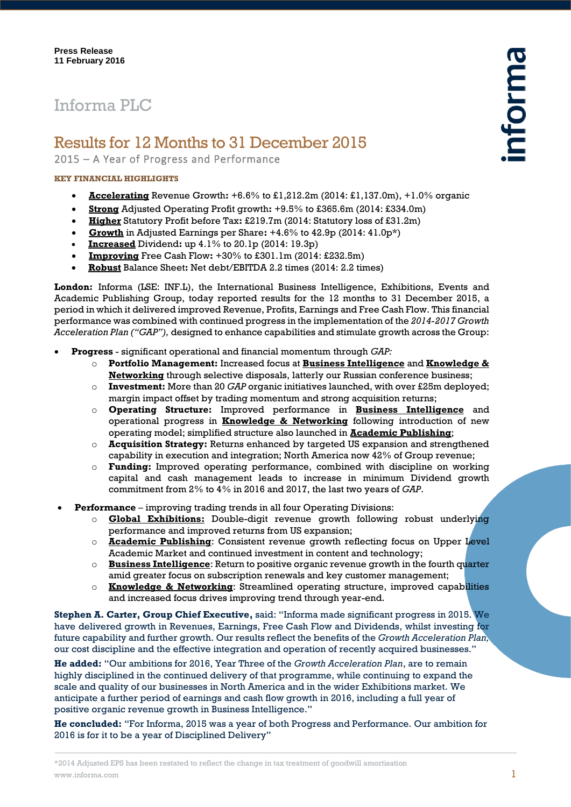# Informa PLC

# Results for 12 Months to 31 December 2015

2015 – A Year of Progress and Performance

### **KEY FINANCIAL HIGHLIGHTS**

- **Accelerating** Revenue Growth**:** +6.6% to £1,212.2m (2014: £1,137.0m), +1.0% organic
- **Strong** Adjusted Operating Profit growth**:** +9.5% to £365.6m (2014: £334.0m)
- **Higher** Statutory Profit before Tax**:** £219.7m (2014: Statutory loss of £31.2m)
- **Growth** in Adjusted Earnings per Share**:** +4.6% to 42.9p (2014: 41.0p\*)
- **Increased** Dividend**:** up 4.1% to 20.1p (2014: 19.3p)
- **Improving** Free Cash Flow**:** +30% to £301.1m (2014: £232.5m)
- **Robust** Balance Sheet**:** Net debt/EBITDA 2.2 times (2014: 2.2 times)

**London:** Informa (LSE: INF.L), the International Business Intelligence, Exhibitions, Events and Academic Publishing Group, today reported results for the 12 months to 31 December 2015, a period in which it delivered improved Revenue, Profits, Earnings and Free Cash Flow. This financial performance was combined with continued progress in the implementation of the *2014-2017 Growth Acceleration Plan ("GAP"),* designed to enhance capabilities and stimulate growth across the Group:

- **Progress** significant operational and financial momentum through *GAP:*
	- o **Portfolio Management:** Increased focus at **Business Intelligence** and **Knowledge & Networking** through selective disposals, latterly our Russian conference business;
	- o **Investment:** More than 20 *GAP* organic initiatives launched, with over £25m deployed; margin impact offset by trading momentum and strong acquisition returns;
	- o **Operating Structure:** Improved performance in **Business Intelligence** and operational progress in **Knowledge & Networking** following introduction of new operating model; simplified structure also launched in **Academic Publishing**;
	- o **Acquisition Strategy:** Returns enhanced by targeted US expansion and strengthened capability in execution and integration; North America now 42% of Group revenue;
	- o **Funding:** Improved operating performance, combined with discipline on working capital and cash management leads to increase in minimum Dividend growth commitment from 2% to 4% in 2016 and 2017, the last two years of *GAP*.
- **Performance** *–* improving trading trends in all four Operating Divisions:
	- o **Global Exhibitions:** Double-digit revenue growth following robust underlying performance and improved returns from US expansion;
	- o **Academic Publishing**: Consistent revenue growth reflecting focus on Upper Level Academic Market and continued investment in content and technology;
	- o **Business Intelligence**: Return to positive organic revenue growth in the fourth quarter amid greater focus on subscription renewals and key customer management;
	- o **Knowledge & Networking**: Streamlined operating structure, improved capabilities and increased focus drives improving trend through year-end.

**Stephen A. Carter, Group Chief Executive,** said: "Informa made significant progress in 2015. We have delivered growth in Revenues, Earnings, Free Cash Flow and Dividends, whilst investing for future capability and further growth. Our results reflect the benefits of the *Growth Acceleration Plan,*  our cost discipline and the effective integration and operation of recently acquired businesses."

**He added:** "Our ambitions for 2016, Year Three of the *Growth Acceleration Plan*, are to remain highly disciplined in the continued delivery of that programme, while continuing to expand the scale and quality of our businesses in North America and in the wider Exhibitions market. We anticipate a further period of earnings and cash flow growth in 2016, including a full year of positive organic revenue growth in Business Intelligence."

**He concluded:** "For Informa, 2015 was a year of both Progress and Performance. Our ambition for 2016 is for it to be a year of Disciplined Delivery"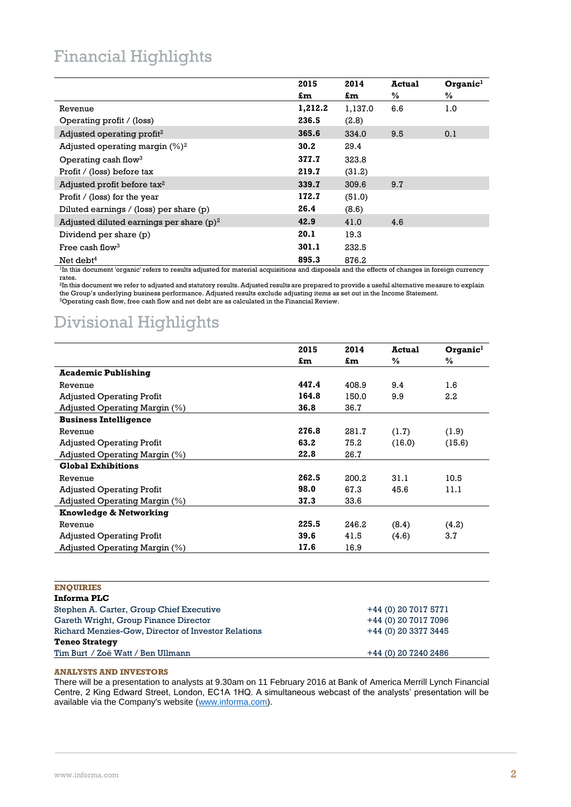## Financial Highlights

|                                                                                                                                                           | 2015    | 2014    | <b>Actual</b> | Organic <sup>1</sup> |
|-----------------------------------------------------------------------------------------------------------------------------------------------------------|---------|---------|---------------|----------------------|
|                                                                                                                                                           | £m      | £m      | $\%$          | $\frac{0}{0}$        |
| Revenue                                                                                                                                                   | 1,212.2 | 1,137.0 | 6.6           | 1.0                  |
| Operating profit / (loss)                                                                                                                                 | 236.5   | (2.8)   |               |                      |
| Adjusted operating profit <sup>2</sup>                                                                                                                    | 365.6   | 334.0   | 9.5           | 0.1                  |
| Adjusted operating margin $(\%)^2$                                                                                                                        | 30.2    | 29.4    |               |                      |
| Operating cash flow <sup>3</sup>                                                                                                                          | 377.7   | 323.8   |               |                      |
| Profit / (loss) before tax                                                                                                                                | 219.7   | (31.2)  |               |                      |
| Adjusted profit before tax <sup>2</sup>                                                                                                                   | 339.7   | 309.6   | 9.7           |                      |
| Profit / (loss) for the year                                                                                                                              | 172.7   | (51.0)  |               |                      |
| Diluted earnings $/$ (loss) per share $(p)$                                                                                                               | 26.4    | (8.6)   |               |                      |
| Adjusted diluted earnings per share $(p)^2$                                                                                                               | 42.9    | 41.0    | 4.6           |                      |
| Dividend per share (p)                                                                                                                                    | 20.1    | 19.3    |               |                      |
| Free cash flow <sup>3</sup>                                                                                                                               | 301.1   | 232.5   |               |                      |
| Net debt <sup>4</sup>                                                                                                                                     | 895.3   | 876.2   |               |                      |
| <sup>1</sup> In this document 'organic' refers to results adjusted for material acquisitions and disposals and the effects of changes in foreign currency |         |         |               |                      |

rates.

 $^{\rm 2}$ In this document we refer to adjusted and statutory results. Adjusted results are prepared to provide a useful alternative measure to explain the Group's underlying business performance. Adjusted results exclude adjusting items as set out in the Income Statement. <sup>3</sup>Operating cash flow, free cash flow and net debt are as calculated in the Financial Review.

# Divisional Highlights

|                                  | 2015  | 2014  | Actual | Organic <sup>1</sup> |
|----------------------------------|-------|-------|--------|----------------------|
|                                  | £m    | £m    | $\%$   | ℅                    |
| <b>Academic Publishing</b>       |       |       |        |                      |
| Revenue                          | 447.4 | 408.9 | 9.4    | 1.6                  |
| <b>Adjusted Operating Profit</b> | 164.8 | 150.0 | 9.9    | 2.2                  |
| Adjusted Operating Margin (%)    | 36.8  | 36.7  |        |                      |
| <b>Business Intelligence</b>     |       |       |        |                      |
| Revenue                          | 276.8 | 281.7 | (1.7)  | (1.9)                |
| <b>Adjusted Operating Profit</b> | 63.2  | 75.2  | (16.0) | (15.6)               |
| Adjusted Operating Margin (%)    | 22.8  | 26.7  |        |                      |
| <b>Global Exhibitions</b>        |       |       |        |                      |
| Revenue                          | 262.5 | 200.2 | 31.1   | 10.5                 |
| <b>Adjusted Operating Profit</b> | 98.0  | 67.3  | 45.6   | 11.1                 |
| Adjusted Operating Margin (%)    | 37.3  | 33.6  |        |                      |
| Knowledge & Networking           |       |       |        |                      |
| Revenue                          | 225.5 | 246.2 | (8.4)  | (4.2)                |
| <b>Adjusted Operating Profit</b> | 39.6  | 41.5  | (4.6)  | 3.7                  |
| Adjusted Operating Margin $(\%)$ | 17.6  | 16.9  |        |                      |

|--|

| Informa PLC                                         |                      |
|-----------------------------------------------------|----------------------|
| Stephen A. Carter, Group Chief Executive            | +44 (0) 20 7017 5771 |
| Gareth Wright, Group Finance Director               | +44 (0) 20 7017 7096 |
| Richard Menzies-Gow, Director of Investor Relations | +44 (0) 20 3377 3445 |
| <b>Teneo Strategy</b>                               |                      |
| Tim Burt / Zoë Watt / Ben Ullmann                   | +44 (0) 20 7240 2486 |

### **ANALYSTS AND INVESTORS**

There will be a presentation to analysts at 9.30am on 11 February 2016 at Bank of America Merrill Lynch Financial Centre, 2 King Edward Street, London, EC1A 1HQ. A simultaneous webcast of the analysts' presentation will be available via the Company's website [\(www.informa.com\)](http://www.informa.com/).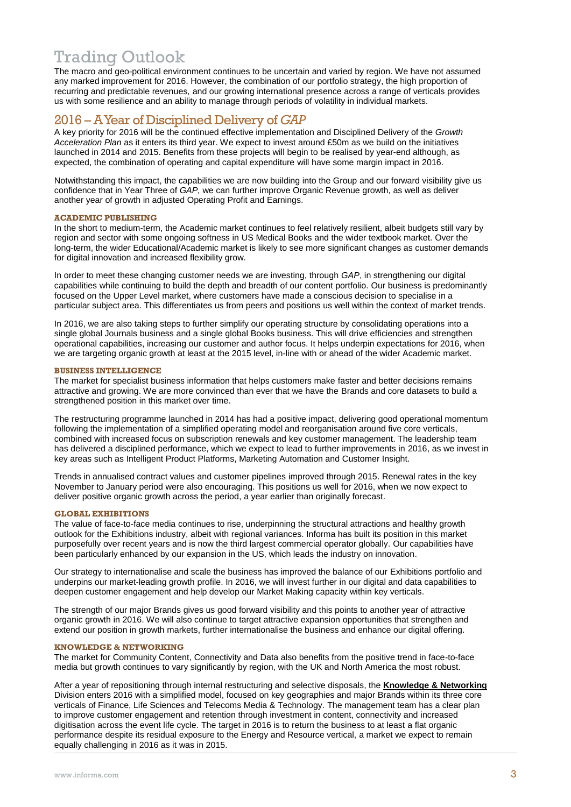## Trading Outlook

The macro and geo-political environment continues to be uncertain and varied by region. We have not assumed any marked improvement for 2016. However, the combination of our portfolio strategy, the high proportion of recurring and predictable revenues, and our growing international presence across a range of verticals provides us with some resilience and an ability to manage through periods of volatility in individual markets.

### 2016 – AYear of Disciplined Delivery of *GAP*

A key priority for 2016 will be the continued effective implementation and Disciplined Delivery of the *Growth Acceleration Plan* as it enters its third year. We expect to invest around £50m as we build on the initiatives launched in 2014 and 2015. Benefits from these projects will begin to be realised by year-end although, as expected, the combination of operating and capital expenditure will have some margin impact in 2016.

Notwithstanding this impact, the capabilities we are now building into the Group and our forward visibility give us confidence that in Year Three of *GAP,* we can further improve Organic Revenue growth, as well as deliver another year of growth in adjusted Operating Profit and Earnings.

### **ACADEMIC PUBLISHING**

In the short to medium-term, the Academic market continues to feel relatively resilient, albeit budgets still vary by region and sector with some ongoing softness in US Medical Books and the wider textbook market. Over the long-term, the wider Educational/Academic market is likely to see more significant changes as customer demands for digital innovation and increased flexibility grow.

In order to meet these changing customer needs we are investing, through *GAP*, in strengthening our digital capabilities while continuing to build the depth and breadth of our content portfolio. Our business is predominantly focused on the Upper Level market, where customers have made a conscious decision to specialise in a particular subject area. This differentiates us from peers and positions us well within the context of market trends.

In 2016, we are also taking steps to further simplify our operating structure by consolidating operations into a single global Journals business and a single global Books business. This will drive efficiencies and strengthen operational capabilities, increasing our customer and author focus. It helps underpin expectations for 2016, when we are targeting organic growth at least at the 2015 level, in-line with or ahead of the wider Academic market.

### **BUSINESS INTELLIGENCE**

The market for specialist business information that helps customers make faster and better decisions remains attractive and growing. We are more convinced than ever that we have the Brands and core datasets to build a strengthened position in this market over time.

The restructuring programme launched in 2014 has had a positive impact, delivering good operational momentum following the implementation of a simplified operating model and reorganisation around five core verticals, combined with increased focus on subscription renewals and key customer management. The leadership team has delivered a disciplined performance, which we expect to lead to further improvements in 2016, as we invest in key areas such as Intelligent Product Platforms, Marketing Automation and Customer Insight.

Trends in annualised contract values and customer pipelines improved through 2015. Renewal rates in the key November to January period were also encouraging. This positions us well for 2016, when we now expect to deliver positive organic growth across the period, a year earlier than originally forecast.

### **GLOBAL EXHIBITIONS**

The value of face-to-face media continues to rise, underpinning the structural attractions and healthy growth outlook for the Exhibitions industry, albeit with regional variances. Informa has built its position in this market purposefully over recent years and is now the third largest commercial operator globally. Our capabilities have been particularly enhanced by our expansion in the US, which leads the industry on innovation.

Our strategy to internationalise and scale the business has improved the balance of our Exhibitions portfolio and underpins our market-leading growth profile. In 2016, we will invest further in our digital and data capabilities to deepen customer engagement and help develop our Market Making capacity within key verticals.

The strength of our major Brands gives us good forward visibility and this points to another year of attractive organic growth in 2016. We will also continue to target attractive expansion opportunities that strengthen and extend our position in growth markets, further internationalise the business and enhance our digital offering.

### **KNOWLEDGE & NETWORKING**

The market for Community Content, Connectivity and Data also benefits from the positive trend in face-to-face media but growth continues to vary significantly by region, with the UK and North America the most robust.

After a year of repositioning through internal restructuring and selective disposals, the **Knowledge & Networking** Division enters 2016 with a simplified model, focused on key geographies and major Brands within its three core verticals of Finance, Life Sciences and Telecoms Media & Technology. The management team has a clear plan to improve customer engagement and retention through investment in content, connectivity and increased digitisation across the event life cycle. The target in 2016 is to return the business to at least a flat organic performance despite its residual exposure to the Energy and Resource vertical, a market we expect to remain equally challenging in 2016 as it was in 2015.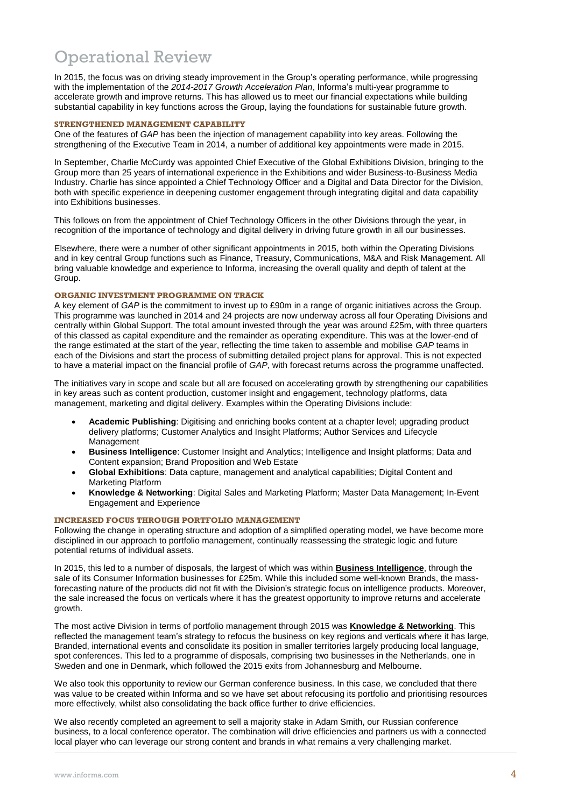# Operational Review

In 2015, the focus was on driving steady improvement in the Group's operating performance, while progressing with the implementation of the *2014-2017 Growth Acceleration Plan*, Informa's multi-year programme to accelerate growth and improve returns. This has allowed us to meet our financial expectations while building substantial capability in key functions across the Group, laying the foundations for sustainable future growth.

### **STRENGTHENED MANAGEMENT CAPABILITY**

One of the features of *GAP* has been the injection of management capability into key areas. Following the strengthening of the Executive Team in 2014, a number of additional key appointments were made in 2015.

In September, Charlie McCurdy was appointed Chief Executive of the Global Exhibitions Division, bringing to the Group more than 25 years of international experience in the Exhibitions and wider Business-to-Business Media Industry. Charlie has since appointed a Chief Technology Officer and a Digital and Data Director for the Division, both with specific experience in deepening customer engagement through integrating digital and data capability into Exhibitions businesses.

This follows on from the appointment of Chief Technology Officers in the other Divisions through the year, in recognition of the importance of technology and digital delivery in driving future growth in all our businesses.

Elsewhere, there were a number of other significant appointments in 2015, both within the Operating Divisions and in key central Group functions such as Finance, Treasury, Communications, M&A and Risk Management. All bring valuable knowledge and experience to Informa, increasing the overall quality and depth of talent at the Group.

### **ORGANIC INVESTMENT PROGRAMME ON TRACK**

A key element of *GAP* is the commitment to invest up to £90m in a range of organic initiatives across the Group. This programme was launched in 2014 and 24 projects are now underway across all four Operating Divisions and centrally within Global Support. The total amount invested through the year was around £25m, with three quarters of this classed as capital expenditure and the remainder as operating expenditure. This was at the lower-end of the range estimated at the start of the year, reflecting the time taken to assemble and mobilise *GAP* teams in each of the Divisions and start the process of submitting detailed project plans for approval. This is not expected to have a material impact on the financial profile of *GAP*, with forecast returns across the programme unaffected.

The initiatives vary in scope and scale but all are focused on accelerating growth by strengthening our capabilities in key areas such as content production, customer insight and engagement, technology platforms, data management, marketing and digital delivery. Examples within the Operating Divisions include:

- **Academic Publishing**: Digitising and enriching books content at a chapter level; upgrading product delivery platforms; Customer Analytics and Insight Platforms; Author Services and Lifecycle Management
- **Business Intelligence**: Customer Insight and Analytics; Intelligence and Insight platforms; Data and Content expansion; Brand Proposition and Web Estate
- **Global Exhibitions**: Data capture, management and analytical capabilities; Digital Content and Marketing Platform
- **Knowledge & Networking**: Digital Sales and Marketing Platform; Master Data Management; In-Event Engagement and Experience

### **INCREASED FOCUS THROUGH PORTFOLIO MANAGEMENT**

Following the change in operating structure and adoption of a simplified operating model, we have become more disciplined in our approach to portfolio management, continually reassessing the strategic logic and future potential returns of individual assets.

In 2015, this led to a number of disposals, the largest of which was within **Business Intelligence**, through the sale of its Consumer Information businesses for £25m. While this included some well-known Brands, the massforecasting nature of the products did not fit with the Division's strategic focus on intelligence products. Moreover, the sale increased the focus on verticals where it has the greatest opportunity to improve returns and accelerate growth.

The most active Division in terms of portfolio management through 2015 was **Knowledge & Networking**. This reflected the management team's strategy to refocus the business on key regions and verticals where it has large, Branded, international events and consolidate its position in smaller territories largely producing local language, spot conferences. This led to a programme of disposals, comprising two businesses in the Netherlands, one in Sweden and one in Denmark, which followed the 2015 exits from Johannesburg and Melbourne.

We also took this opportunity to review our German conference business. In this case, we concluded that there was value to be created within Informa and so we have set about refocusing its portfolio and prioritising resources more effectively, whilst also consolidating the back office further to drive efficiencies.

We also recently completed an agreement to sell a majority stake in Adam Smith, our Russian conference business, to a local conference operator. The combination will drive efficiencies and partners us with a connected local player who can leverage our strong content and brands in what remains a very challenging market.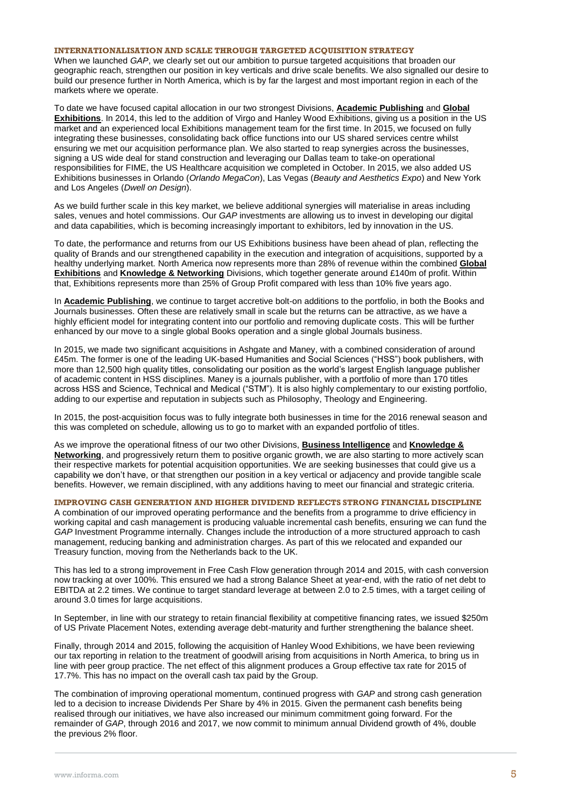### **INTERNATIONALISATION AND SCALE THROUGH TARGETED ACQUISITION STRATEGY**

When we launched *GAP*, we clearly set out our ambition to pursue targeted acquisitions that broaden our geographic reach, strengthen our position in key verticals and drive scale benefits. We also signalled our desire to build our presence further in North America, which is by far the largest and most important region in each of the markets where we operate.

To date we have focused capital allocation in our two strongest Divisions, **Academic Publishing** and **Global Exhibitions**. In 2014, this led to the addition of Virgo and Hanley Wood Exhibitions, giving us a position in the US market and an experienced local Exhibitions management team for the first time. In 2015, we focused on fully integrating these businesses, consolidating back office functions into our US shared services centre whilst ensuring we met our acquisition performance plan. We also started to reap synergies across the businesses, signing a US wide deal for stand construction and leveraging our Dallas team to take-on operational responsibilities for FIME, the US Healthcare acquisition we completed in October. In 2015, we also added US Exhibitions businesses in Orlando (*Orlando MegaCon*), Las Vegas (*Beauty and Aesthetics Expo*) and New York and Los Angeles (*Dwell on Design*).

As we build further scale in this key market, we believe additional synergies will materialise in areas including sales, venues and hotel commissions. Our *GAP* investments are allowing us to invest in developing our digital and data capabilities, which is becoming increasingly important to exhibitors, led by innovation in the US.

To date, the performance and returns from our US Exhibitions business have been ahead of plan, reflecting the quality of Brands and our strengthened capability in the execution and integration of acquisitions, supported by a healthy underlying market. North America now represents more than 28% of revenue within the combined **Global Exhibitions** and **Knowledge & Networking** Divisions, which together generate around £140m of profit. Within that, Exhibitions represents more than 25% of Group Profit compared with less than 10% five years ago.

In **Academic Publishing**, we continue to target accretive bolt-on additions to the portfolio, in both the Books and Journals businesses. Often these are relatively small in scale but the returns can be attractive, as we have a highly efficient model for integrating content into our portfolio and removing duplicate costs. This will be further enhanced by our move to a single global Books operation and a single global Journals business.

In 2015, we made two significant acquisitions in Ashgate and Maney, with a combined consideration of around £45m. The former is one of the leading UK-based Humanities and Social Sciences ("HSS") book publishers, with more than 12,500 high quality titles, consolidating our position as the world's largest English language publisher of academic content in HSS disciplines. Maney is a journals publisher, with a portfolio of more than 170 titles across HSS and Science, Technical and Medical ("STM"). It is also highly complementary to our existing portfolio, adding to our expertise and reputation in subjects such as Philosophy, Theology and Engineering.

In 2015, the post-acquisition focus was to fully integrate both businesses in time for the 2016 renewal season and this was completed on schedule, allowing us to go to market with an expanded portfolio of titles.

As we improve the operational fitness of our two other Divisions, **Business Intelligence** and **Knowledge & Networking**, and progressively return them to positive organic growth, we are also starting to more actively scan their respective markets for potential acquisition opportunities. We are seeking businesses that could give us a capability we don't have, or that strengthen our position in a key vertical or adjacency and provide tangible scale benefits. However, we remain disciplined, with any additions having to meet our financial and strategic criteria.

### **IMPROVING CASH GENERATION AND HIGHER DIVIDEND REFLECTS STRONG FINANCIAL DISCIPLINE**

A combination of our improved operating performance and the benefits from a programme to drive efficiency in working capital and cash management is producing valuable incremental cash benefits, ensuring we can fund the *GAP* Investment Programme internally. Changes include the introduction of a more structured approach to cash management, reducing banking and administration charges. As part of this we relocated and expanded our Treasury function, moving from the Netherlands back to the UK.

This has led to a strong improvement in Free Cash Flow generation through 2014 and 2015, with cash conversion now tracking at over 100%. This ensured we had a strong Balance Sheet at year-end, with the ratio of net debt to EBITDA at 2.2 times. We continue to target standard leverage at between 2.0 to 2.5 times, with a target ceiling of around 3.0 times for large acquisitions.

In September, in line with our strategy to retain financial flexibility at competitive financing rates, we issued \$250m of US Private Placement Notes, extending average debt-maturity and further strengthening the balance sheet.

Finally, through 2014 and 2015, following the acquisition of Hanley Wood Exhibitions, we have been reviewing our tax reporting in relation to the treatment of goodwill arising from acquisitions in North America, to bring us in line with peer group practice. The net effect of this alignment produces a Group effective tax rate for 2015 of 17.7%. This has no impact on the overall cash tax paid by the Group.

The combination of improving operational momentum, continued progress with *GAP* and strong cash generation led to a decision to increase Dividends Per Share by 4% in 2015. Given the permanent cash benefits being realised through our initiatives, we have also increased our minimum commitment going forward. For the remainder of *GAP*, through 2016 and 2017, we now commit to minimum annual Dividend growth of 4%, double the previous 2% floor.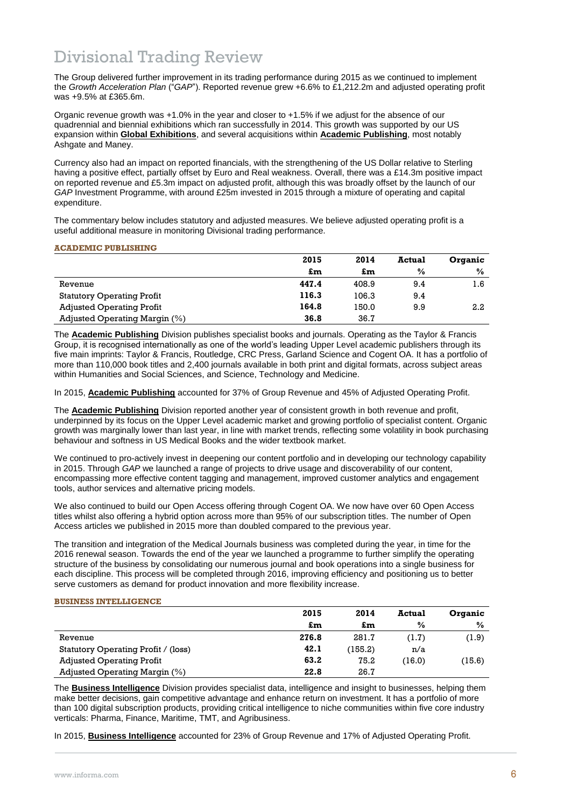# Divisional Trading Review

The Group delivered further improvement in its trading performance during 2015 as we continued to implement the *Growth Acceleration Plan* ("*GAP*"). Reported revenue grew +6.6% to £1,212.2m and adjusted operating profit was +9.5% at £365.6m.

Organic revenue growth was +1.0% in the year and closer to +1.5% if we adjust for the absence of our quadrennial and biennial exhibitions which ran successfully in 2014. This growth was supported by our US expansion within **Global Exhibitions**, and several acquisitions within **Academic Publishing**, most notably Ashgate and Maney.

Currency also had an impact on reported financials, with the strengthening of the US Dollar relative to Sterling having a positive effect, partially offset by Euro and Real weakness. Overall, there was a £14.3m positive impact on reported revenue and £5.3m impact on adjusted profit, although this was broadly offset by the launch of our *GAP* Investment Programme, with around £25m invested in 2015 through a mixture of operating and capital expenditure.

The commentary below includes statutory and adjusted measures. We believe adjusted operating profit is a useful additional measure in monitoring Divisional trading performance.

### **ACADEMIC PUBLISHING**

|                                   | 2015  | 2014  | <b>Actual</b> | Organic       |
|-----------------------------------|-------|-------|---------------|---------------|
|                                   | £m    | £m    | $\frac{0}{0}$ | $\frac{0}{0}$ |
| Revenue                           | 447.4 | 408.9 | 9.4           | 1.6           |
| <b>Statutory Operating Profit</b> | 116.3 | 106.3 | 9.4           |               |
| <b>Adjusted Operating Profit</b>  | 164.8 | 150.0 | 9.9           | 2.2           |
| Adjusted Operating Margin (%)     | 36.8  | 36.7  |               |               |

The **Academic Publishing** Division publishes specialist books and journals. Operating as the Taylor & Francis Group, it is recognised internationally as one of the world's leading Upper Level academic publishers through its five main imprints: Taylor & Francis, Routledge, CRC Press, Garland Science and Cogent OA. It has a portfolio of more than 110,000 book titles and 2,400 journals available in both print and digital formats, across subject areas within Humanities and Social Sciences, and Science, Technology and Medicine.

In 2015, **Academic Publishing** accounted for 37% of Group Revenue and 45% of Adjusted Operating Profit.

The **Academic Publishing** Division reported another year of consistent growth in both revenue and profit, underpinned by its focus on the Upper Level academic market and growing portfolio of specialist content. Organic growth was marginally lower than last year, in line with market trends, reflecting some volatility in book purchasing behaviour and softness in US Medical Books and the wider textbook market.

We continued to pro-actively invest in deepening our content portfolio and in developing our technology capability in 2015. Through *GAP* we launched a range of projects to drive usage and discoverability of our content, encompassing more effective content tagging and management, improved customer analytics and engagement tools, author services and alternative pricing models.

We also continued to build our Open Access offering through Cogent OA. We now have over 60 Open Access titles whilst also offering a hybrid option across more than 95% of our subscription titles. The number of Open Access articles we published in 2015 more than doubled compared to the previous year.

The transition and integration of the Medical Journals business was completed during the year, in time for the 2016 renewal season. Towards the end of the year we launched a programme to further simplify the operating structure of the business by consolidating our numerous journal and book operations into a single business for each discipline. This process will be completed through 2016, improving efficiency and positioning us to better serve customers as demand for product innovation and more flexibility increase.

### **BUSINESS INTELLIGENCE**

|                                     | 2015  | 2014    | <b>Actual</b> | Organic       |
|-------------------------------------|-------|---------|---------------|---------------|
|                                     | £m    | £m      | $\%$          | $\frac{0}{0}$ |
| Revenue                             | 276.8 | 281.7   | (1.7)         | (1.9)         |
| Statutory Operating Profit / (loss) | 42.1  | (155.2) | n/a           |               |
| <b>Adjusted Operating Profit</b>    | 63.2  | 75.2    | (16.0)        | (15.6)        |
| Adjusted Operating Margin $(\%)$    | 22.8  | 26.7    |               |               |

The **Business Intelligence** Division provides specialist data, intelligence and insight to businesses, helping them make better decisions, gain competitive advantage and enhance return on investment. It has a portfolio of more than 100 digital subscription products, providing critical intelligence to niche communities within five core industry verticals: Pharma, Finance, Maritime, TMT, and Agribusiness.

In 2015, **Business Intelligence** accounted for 23% of Group Revenue and 17% of Adjusted Operating Profit.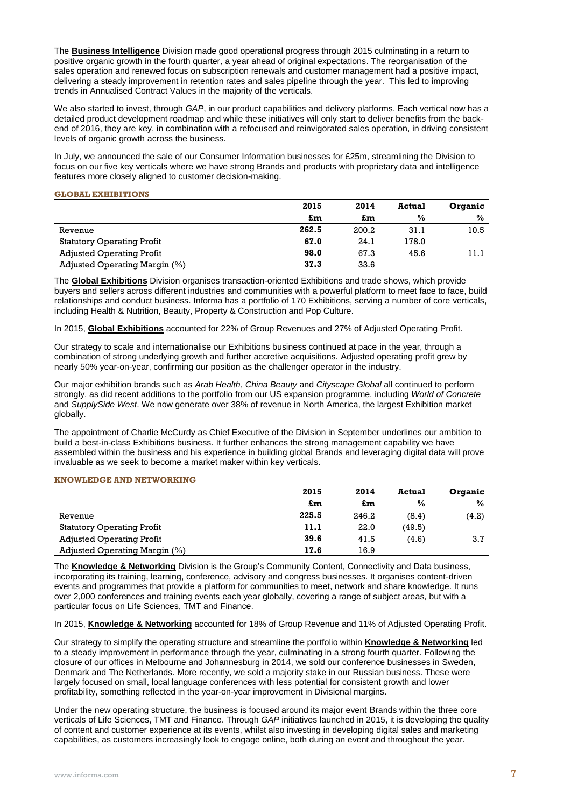The **Business Intelligence** Division made good operational progress through 2015 culminating in a return to positive organic growth in the fourth quarter, a year ahead of original expectations. The reorganisation of the sales operation and renewed focus on subscription renewals and customer management had a positive impact, delivering a steady improvement in retention rates and sales pipeline through the year. This led to improving trends in Annualised Contract Values in the majority of the verticals.

We also started to invest, through *GAP*, in our product capabilities and delivery platforms. Each vertical now has a detailed product development roadmap and while these initiatives will only start to deliver benefits from the backend of 2016, they are key, in combination with a refocused and reinvigorated sales operation, in driving consistent levels of organic growth across the business.

In July, we announced the sale of our Consumer Information businesses for £25m, streamlining the Division to focus on our five key verticals where we have strong Brands and products with proprietary data and intelligence features more closely aligned to customer decision-making.

### **GLOBAL EXHIBITIONS**

|                                   | 2015  | 2014  | <b>Actual</b> | Organic       |
|-----------------------------------|-------|-------|---------------|---------------|
|                                   | £m    | £m    | $\frac{0}{0}$ | $\frac{0}{0}$ |
| Revenue                           | 262.5 | 200.2 | 31.1          | 10.5          |
| <b>Statutory Operating Profit</b> | 67.0  | 24.1  | 178.0         |               |
| <b>Adjusted Operating Profit</b>  | 98.0  | 67.3  | 45.6          | 11.1          |
| Adjusted Operating Margin (%)     | 37.3  | 33.6  |               |               |

The **Global Exhibitions** Division organises transaction-oriented Exhibitions and trade shows, which provide buyers and sellers across different industries and communities with a powerful platform to meet face to face, build relationships and conduct business. Informa has a portfolio of 170 Exhibitions, serving a number of core verticals, including Health & Nutrition, Beauty, Property & Construction and Pop Culture.

In 2015, **Global Exhibitions** accounted for 22% of Group Revenues and 27% of Adjusted Operating Profit.

Our strategy to scale and internationalise our Exhibitions business continued at pace in the year, through a combination of strong underlying growth and further accretive acquisitions. Adjusted operating profit grew by nearly 50% year-on-year, confirming our position as the challenger operator in the industry.

Our major exhibition brands such as *Arab Health*, *China Beauty* and *Cityscape Global* all continued to perform strongly, as did recent additions to the portfolio from our US expansion programme, including *World of Concrete* and *SupplySide West*. We now generate over 38% of revenue in North America, the largest Exhibition market globally.

The appointment of Charlie McCurdy as Chief Executive of the Division in September underlines our ambition to build a best-in-class Exhibitions business. It further enhances the strong management capability we have assembled within the business and his experience in building global Brands and leveraging digital data will prove invaluable as we seek to become a market maker within key verticals.

### **KNOWLEDGE AND NETWORKING**

|                                   | 2015  | 2014  | <b>Actual</b> | Organic       |
|-----------------------------------|-------|-------|---------------|---------------|
|                                   | £m    | £m    | $\%$          | $\frac{0}{0}$ |
| Revenue                           | 225.5 | 246.2 | (8.4)         | (4.2)         |
| <b>Statutory Operating Profit</b> | 11.1  | 22.0  | (49.5)        |               |
| <b>Adjusted Operating Profit</b>  | 39.6  | 41.5  | (4.6)         | 3.7           |
| Adjusted Operating Margin (%)     | 17.6  | 16.9  |               |               |

The **Knowledge & Networking** Division is the Group's Community Content, Connectivity and Data business, incorporating its training, learning, conference, advisory and congress businesses. It organises content-driven events and programmes that provide a platform for communities to meet, network and share knowledge. It runs over 2,000 conferences and training events each year globally, covering a range of subject areas, but with a particular focus on Life Sciences, TMT and Finance.

In 2015, **Knowledge & Networking** accounted for 18% of Group Revenue and 11% of Adjusted Operating Profit.

Our strategy to simplify the operating structure and streamline the portfolio within **Knowledge & Networking** led to a steady improvement in performance through the year, culminating in a strong fourth quarter. Following the closure of our offices in Melbourne and Johannesburg in 2014, we sold our conference businesses in Sweden, Denmark and The Netherlands. More recently, we sold a majority stake in our Russian business. These were largely focused on small, local language conferences with less potential for consistent growth and lower profitability, something reflected in the year-on-year improvement in Divisional margins.

Under the new operating structure, the business is focused around its major event Brands within the three core verticals of Life Sciences, TMT and Finance. Through *GAP* initiatives launched in 2015, it is developing the quality of content and customer experience at its events, whilst also investing in developing digital sales and marketing capabilities, as customers increasingly look to engage online, both during an event and throughout the year.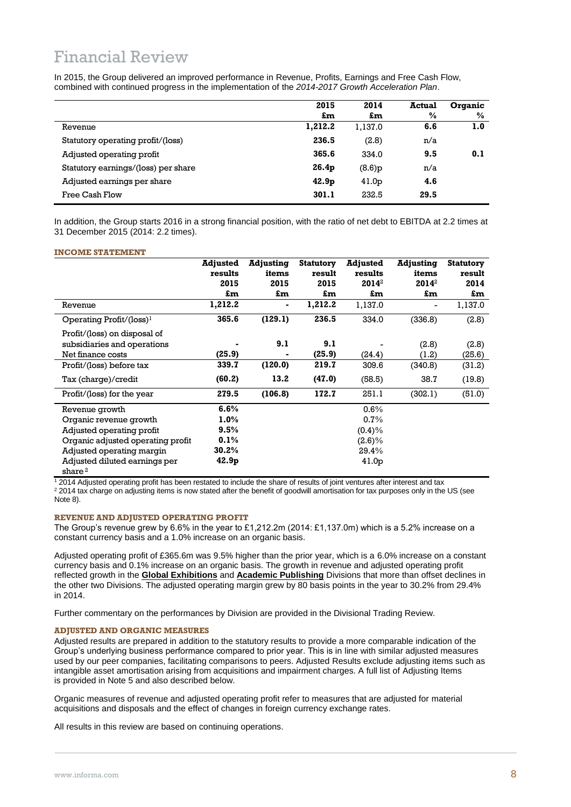# Financial Review

In 2015, the Group delivered an improved performance in Revenue, Profits, Earnings and Free Cash Flow, combined with continued progress in the implementation of the *2014-2017 Growth Acceleration Plan*.

|                                     | 2015              | 2014              | Actual | Organic |
|-------------------------------------|-------------------|-------------------|--------|---------|
|                                     | £m                | £m                | $\%$   | $\%$    |
| Revenue                             | 1,212.2           | 1,137.0           | 6.6    | 1.0     |
| Statutory operating profit/(loss)   | 236.5             | (2.8)             | n/a    |         |
| Adjusted operating profit           | 365.6             | 334.0             | 9.5    | 0.1     |
| Statutory earnings/(loss) per share | 26.4 <sub>p</sub> | (8.6)p            | n/a    |         |
| Adjusted earnings per share         | 42.9 <sub>p</sub> | 41.0 <sub>p</sub> | 4.6    |         |
| Free Cash Flow                      | 301.1             | 232.5             | 29.5   |         |

In addition, the Group starts 2016 in a strong financial position, with the ratio of net debt to EBITDA at 2.2 times at 31 December 2015 (2014: 2.2 times).

### **INCOME STATEMENT**

|                                                     | <b>Adjusted</b><br>results<br>2015 | Adjusting<br>items<br>2015 | <b>Statutory</b><br>result<br>2015 | Adjusted<br>results<br>2014 <sup>2</sup> | <b>Adjusting</b><br>items<br>2014 <sup>2</sup> | <b>Statutory</b><br>result<br>2014 |
|-----------------------------------------------------|------------------------------------|----------------------------|------------------------------------|------------------------------------------|------------------------------------------------|------------------------------------|
|                                                     | £m                                 | £m                         | £m                                 | £m                                       | £m                                             | £m                                 |
| Revenue                                             | 1,212.2                            | ۰                          | 1,212.2                            | 1,137.0                                  | -                                              | 1,137.0                            |
| Operating Profit/ $(\text{loss})^1$                 | 365.6                              | (129.1)                    | 236.5                              | 334.0                                    | (336.8)                                        | (2.8)                              |
| Profit/(loss) on disposal of                        |                                    |                            |                                    |                                          |                                                |                                    |
| subsidiaries and operations                         |                                    | 9.1                        | 9.1                                |                                          | (2.8)                                          | (2.8)                              |
| Net finance costs                                   | (25.9)                             |                            | (25.9)                             | (24.4)                                   | (1.2)                                          | (25.6)                             |
| Profit/(loss) before tax                            | 339.7                              | (120.0)                    | 219.7                              | 309.6                                    | (340.8)                                        | (31.2)                             |
| Tax (charge)/credit                                 | (60.2)                             | 13.2                       | (47.0)                             | (58.5)                                   | 38.7                                           | (19.8)                             |
| Profit/(loss) for the year                          | 279.5                              | (106.8)                    | 172.7                              | 251.1                                    | (302.1)                                        | (51.0)                             |
| Revenue growth                                      | 6.6%                               |                            |                                    | $0.6\%$                                  |                                                |                                    |
| Organic revenue growth                              | 1.0%                               |                            |                                    | 0.7%                                     |                                                |                                    |
| Adjusted operating profit                           | 9.5%                               |                            |                                    | (0.4)%                                   |                                                |                                    |
| Organic adjusted operating profit                   | 0.1%                               |                            |                                    | $(2.6)\%$                                |                                                |                                    |
| Adjusted operating margin                           | 30.2%                              |                            |                                    | 29.4%                                    |                                                |                                    |
| Adjusted diluted earnings per<br>share <sup>2</sup> | 42.9 <sub>p</sub>                  |                            |                                    | 41.0 <sub>p</sub>                        |                                                |                                    |

<sup>1</sup> 2014 Adjusted operating profit has been restated to include the share of results of joint ventures after interest and tax

<sup>2</sup> 2014 tax charge on adjusting items is now stated after the benefit of goodwill amortisation for tax purposes only in the US (see Note 8).

#### **REVENUE AND ADJUSTED OPERATING PROFIT**

The Group's revenue grew by 6.6% in the year to £1,212.2m (2014: £1,137.0m) which is a 5.2% increase on a constant currency basis and a 1.0% increase on an organic basis.

Adjusted operating profit of £365.6m was 9.5% higher than the prior year, which is a 6.0% increase on a constant currency basis and 0.1% increase on an organic basis. The growth in revenue and adjusted operating profit reflected growth in the **Global Exhibitions** and **Academic Publishing** Divisions that more than offset declines in the other two Divisions. The adjusted operating margin grew by 80 basis points in the year to 30.2% from 29.4% in 2014.

Further commentary on the performances by Division are provided in the Divisional Trading Review.

### **ADJUSTED AND ORGANIC MEASURES**

Adjusted results are prepared in addition to the statutory results to provide a more comparable indication of the Group's underlying business performance compared to prior year. This is in line with similar adjusted measures used by our peer companies, facilitating comparisons to peers. Adjusted Results exclude adjusting items such as intangible asset amortisation arising from acquisitions and impairment charges. A full list of Adjusting Items is provided in Note 5 and also described below.

Organic measures of revenue and adjusted operating profit refer to measures that are adjusted for material acquisitions and disposals and the effect of changes in foreign currency exchange rates.

All results in this review are based on continuing operations.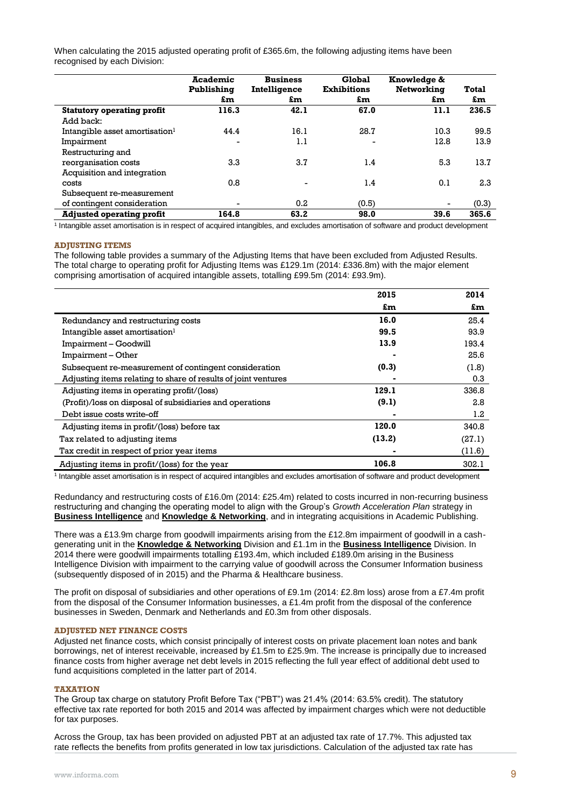When calculating the 2015 adjusted operating profit of £365.6m, the following adjusting items have been recognised by each Division:

|                                            | <b>Academic</b> | <b>Business</b> | Global             | Knowledge & |       |
|--------------------------------------------|-----------------|-----------------|--------------------|-------------|-------|
|                                            | Publishing      | Intelligence    | <b>Exhibitions</b> | Networking  | Total |
|                                            | £m              | £m              | £m                 | £m          | £m    |
| <b>Statutory operating profit</b>          | 116.3           | 42.1            | 67.0               | 11.1        | 236.5 |
| Add back:                                  |                 |                 |                    |             |       |
| Intangible asset amortisation <sup>1</sup> | 44.4            | 16.1            | 28.7               | 10.3        | 99.5  |
| Impairment                                 | ۰               | 1.1             |                    | 12.8        | 13.9  |
| Restructuring and                          |                 |                 |                    |             |       |
| reorganisation costs                       | 3.3             | 3.7             | 1.4                | 5.3         | 13.7  |
| Acquisition and integration                |                 |                 |                    |             |       |
| costs                                      | 0.8             |                 | 1.4                | 0.1         | 2.3   |
| Subsequent re-measurement                  |                 |                 |                    |             |       |
| of contingent consideration                |                 | 0.2             | (0.5)              |             | (0.3) |
| <b>Adjusted operating profit</b>           | 164.8           | 63.2            | 98.0               | 39.6        | 365.6 |

1 Intangible asset amortisation is in respect of acquired intangibles, and excludes amortisation of software and product development

### **ADJUSTING ITEMS**

The following table provides a summary of the Adjusting Items that have been excluded from Adjusted Results. The total charge to operating profit for Adjusting Items was £129.1m (2014: £336.8m) with the major element comprising amortisation of acquired intangible assets, totalling £99.5m (2014: £93.9m).

|                                                                | 2015   | 2014   |
|----------------------------------------------------------------|--------|--------|
|                                                                | £m     | £m     |
| Redundancy and restructuring costs                             | 16.0   | 25.4   |
| Intangible asset amortisation <sup>1</sup>                     | 99.5   | 93.9   |
| Impairment - Goodwill                                          | 13.9   | 193.4  |
| Impairment – Other                                             |        | 25.6   |
| Subsequent re-measurement of contingent consideration          | (0.3)  | (1.8)  |
| Adjusting items relating to share of results of joint ventures |        | 0.3    |
| Adjusting items in operating profit/(loss)                     | 129.1  | 336.8  |
| (Profit)/loss on disposal of subsidiaries and operations       | (9.1)  | 2.8    |
| Debt issue costs write-off                                     |        | 1.2    |
| Adjusting items in profit/(loss) before tax                    | 120.0  | 340.8  |
| Tax related to adjusting items                                 | (13.2) | (27.1) |
| Tax credit in respect of prior year items                      |        | (11.6) |
| Adjusting items in profit/(loss) for the year                  | 106.8  | 302.1  |

1 Intangible asset amortisation is in respect of acquired intangibles and excludes amortisation of software and product development

Redundancy and restructuring costs of £16.0m (2014: £25.4m) related to costs incurred in non-recurring business restructuring and changing the operating model to align with the Group's *Growth Acceleration Plan* strategy in **Business Intelligence** and **Knowledge & Networking**, and in integrating acquisitions in Academic Publishing.

There was a £13.9m charge from goodwill impairments arising from the £12.8m impairment of goodwill in a cashgenerating unit in the **Knowledge & Networking** Division and £1.1m in the **Business Intelligence** Division. In 2014 there were goodwill impairments totalling £193.4m, which included £189.0m arising in the Business Intelligence Division with impairment to the carrying value of goodwill across the Consumer Information business (subsequently disposed of in 2015) and the Pharma & Healthcare business.

The profit on disposal of subsidiaries and other operations of £9.1m (2014: £2.8m loss) arose from a £7.4m profit from the disposal of the Consumer Information businesses, a £1.4m profit from the disposal of the conference businesses in Sweden, Denmark and Netherlands and £0.3m from other disposals.

### **ADJUSTED NET FINANCE COSTS**

Adjusted net finance costs, which consist principally of interest costs on private placement loan notes and bank borrowings, net of interest receivable, increased by £1.5m to £25.9m. The increase is principally due to increased finance costs from higher average net debt levels in 2015 reflecting the full year effect of additional debt used to fund acquisitions completed in the latter part of 2014.

### **TAXATION**

The Group tax charge on statutory Profit Before Tax ("PBT") was 21.4% (2014: 63.5% credit). The statutory effective tax rate reported for both 2015 and 2014 was affected by impairment charges which were not deductible for tax purposes.

Across the Group, tax has been provided on adjusted PBT at an adjusted tax rate of 17.7%. This adjusted tax rate reflects the benefits from profits generated in low tax jurisdictions. Calculation of the adjusted tax rate has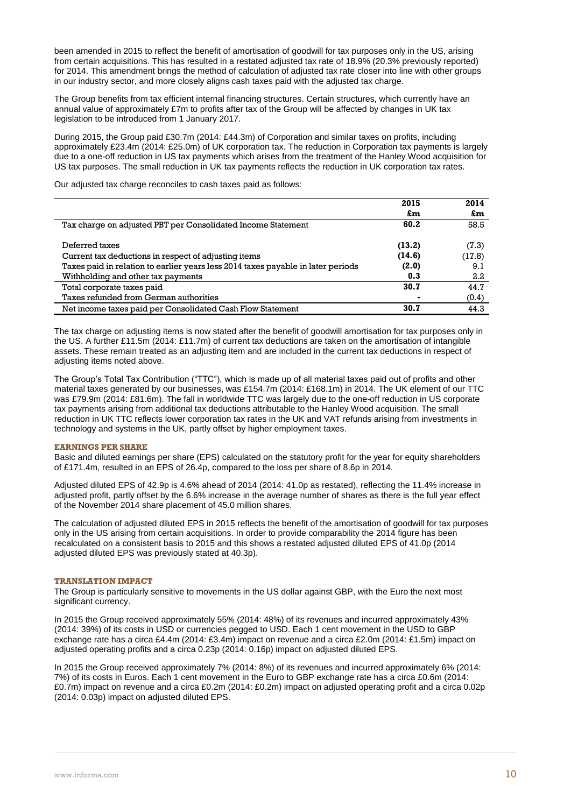been amended in 2015 to reflect the benefit of amortisation of goodwill for tax purposes only in the US, arising from certain acquisitions. This has resulted in a restated adjusted tax rate of 18.9% (20.3% previously reported) for 2014. This amendment brings the method of calculation of adjusted tax rate closer into line with other groups in our industry sector, and more closely aligns cash taxes paid with the adjusted tax charge.

The Group benefits from tax efficient internal financing structures. Certain structures, which currently have an annual value of approximately £7m to profits after tax of the Group will be affected by changes in UK tax legislation to be introduced from 1 January 2017.

During 2015, the Group paid £30.7m (2014: £44.3m) of Corporation and similar taxes on profits, including approximately £23.4m (2014: £25.0m) of UK corporation tax. The reduction in Corporation tax payments is largely due to a one-off reduction in US tax payments which arises from the treatment of the Hanley Wood acquisition for US tax purposes. The small reduction in UK tax payments reflects the reduction in UK corporation tax rates.

Our adjusted tax charge reconciles to cash taxes paid as follows:

|                                                                                  | 2015   | 2014   |
|----------------------------------------------------------------------------------|--------|--------|
|                                                                                  | £m     | £m     |
| Tax charge on adjusted PBT per Consolidated Income Statement                     | 60.2   | 58.5   |
|                                                                                  |        |        |
| Deferred taxes                                                                   | (13.2) | (7.3)  |
| Current tax deductions in respect of adjusting items                             | (14.6) | (17.8) |
| Taxes paid in relation to earlier years less 2014 taxes payable in later periods | (2.0)  | 9.1    |
| Withholding and other tax payments                                               | 0.3    | 2.2    |
| Total corporate taxes paid                                                       | 30.7   | 44.7   |
| Taxes refunded from German authorities                                           |        | (0.4)  |
| Net income taxes paid per Consolidated Cash Flow Statement                       | 30.7   | 44.3   |

The tax charge on adjusting items is now stated after the benefit of goodwill amortisation for tax purposes only in the US. A further £11.5m (2014: £11.7m) of current tax deductions are taken on the amortisation of intangible assets. These remain treated as an adjusting item and are included in the current tax deductions in respect of adjusting items noted above.

The Group's Total Tax Contribution ("TTC"), which is made up of all material taxes paid out of profits and other material taxes generated by our businesses, was £154.7m (2014: £168.1m) in 2014. The UK element of our TTC was £79.9m (2014: £81.6m). The fall in worldwide TTC was largely due to the one-off reduction in US corporate tax payments arising from additional tax deductions attributable to the Hanley Wood acquisition. The small reduction in UK TTC reflects lower corporation tax rates in the UK and VAT refunds arising from investments in technology and systems in the UK, partly offset by higher employment taxes.

### **EARNINGS PER SHARE**

Basic and diluted earnings per share (EPS) calculated on the statutory profit for the year for equity shareholders of £171.4m, resulted in an EPS of 26.4p, compared to the loss per share of 8.6p in 2014.

Adjusted diluted EPS of 42.9p is 4.6% ahead of 2014 (2014: 41.0p as restated), reflecting the 11.4% increase in adjusted profit, partly offset by the 6.6% increase in the average number of shares as there is the full year effect of the November 2014 share placement of 45.0 million shares.

The calculation of adjusted diluted EPS in 2015 reflects the benefit of the amortisation of goodwill for tax purposes only in the US arising from certain acquisitions. In order to provide comparability the 2014 figure has been recalculated on a consistent basis to 2015 and this shows a restated adjusted diluted EPS of 41.0p (2014 adjusted diluted EPS was previously stated at 40.3p).

### **TRANSLATION IMPACT**

The Group is particularly sensitive to movements in the US dollar against GBP, with the Euro the next most significant currency.

In 2015 the Group received approximately 55% (2014: 48%) of its revenues and incurred approximately 43% (2014: 39%) of its costs in USD or currencies pegged to USD. Each 1 cent movement in the USD to GBP exchange rate has a circa £4.4m (2014: £3.4m) impact on revenue and a circa £2.0m (2014: £1.5m) impact on adjusted operating profits and a circa 0.23p (2014: 0.16p) impact on adjusted diluted EPS.

In 2015 the Group received approximately 7% (2014: 8%) of its revenues and incurred approximately 6% (2014: 7%) of its costs in Euros. Each 1 cent movement in the Euro to GBP exchange rate has a circa £0.6m (2014: £0.7m) impact on revenue and a circa £0.2m (2014: £0.2m) impact on adjusted operating profit and a circa 0.02p (2014: 0.03p) impact on adjusted diluted EPS.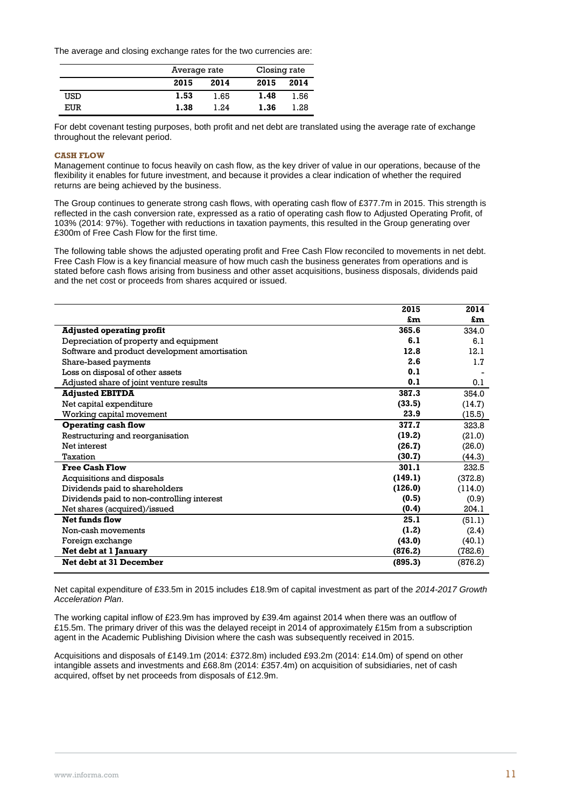The average and closing exchange rates for the two currencies are:

|     | Average rate |      | Closing rate |      |
|-----|--------------|------|--------------|------|
|     | 2015         | 2014 | 2015         | 2014 |
| USD | 1.53         | 1.65 | 1.48         | 1.56 |
| EUR | 1.38         | 1.24 | 1.36         | 1.28 |

For debt covenant testing purposes, both profit and net debt are translated using the average rate of exchange throughout the relevant period.

### **CASH FLOW**

Management continue to focus heavily on cash flow, as the key driver of value in our operations, because of the flexibility it enables for future investment, and because it provides a clear indication of whether the required returns are being achieved by the business.

The Group continues to generate strong cash flows, with operating cash flow of £377.7m in 2015. This strength is reflected in the cash conversion rate, expressed as a ratio of operating cash flow to Adjusted Operating Profit, of 103% (2014: 97%). Together with reductions in taxation payments, this resulted in the Group generating over £300m of Free Cash Flow for the first time.

The following table shows the adjusted operating profit and Free Cash Flow reconciled to movements in net debt. Free Cash Flow is a key financial measure of how much cash the business generates from operations and is stated before cash flows arising from business and other asset acquisitions, business disposals, dividends paid and the net cost or proceeds from shares acquired or issued.

|                                               | 2015    | 2014    |
|-----------------------------------------------|---------|---------|
|                                               | £m      | £m      |
| <b>Adjusted operating profit</b>              | 365.6   | 334.0   |
| Depreciation of property and equipment        | 6.1     | 6.1     |
| Software and product development amortisation | 12.8    | 12.1    |
| Share-based payments                          | 2.6     | 1.7     |
| Loss on disposal of other assets              | 0.1     |         |
| Adjusted share of joint venture results       | 0.1     | 0.1     |
| <b>Adjusted EBITDA</b>                        | 387.3   | 354.0   |
| Net capital expenditure                       | (33.5)  | (14.7)  |
| Working capital movement                      | 23.9    | (15.5)  |
| <b>Operating cash flow</b>                    | 377.7   | 323.8   |
| Restructuring and reorganisation              | (19.2)  | (21.0)  |
| Net interest                                  | (26.7)  | (26.0)  |
| Taxation                                      | (30.7)  | (44.3)  |
| <b>Free Cash Flow</b>                         | 301.1   | 232.5   |
| Acquisitions and disposals                    | (149.1) | (372.8) |
| Dividends paid to shareholders                | (126.0) | (114.0) |
| Dividends paid to non-controlling interest    | (0.5)   | (0.9)   |
| Net shares (acquired)/issued                  | (0.4)   | 204.1   |
| <b>Net funds flow</b>                         | 25.1    | (51.1)  |
| Non-cash movements                            | (1.2)   | (2.4)   |
| Foreign exchange                              | (43.0)  | (40.1)  |
| Net debt at 1 January                         | (876.2) | (782.6) |
| <b>Net debt at 31 December</b>                | (895.3) | (876.2) |
|                                               |         |         |

Net capital expenditure of £33.5m in 2015 includes £18.9m of capital investment as part of the *2014-2017 Growth Acceleration Plan.*

The working capital inflow of £23.9m has improved by £39.4m against 2014 when there was an outflow of £15.5m. The primary driver of this was the delayed receipt in 2014 of approximately £15m from a subscription agent in the Academic Publishing Division where the cash was subsequently received in 2015.

Acquisitions and disposals of £149.1m (2014: £372.8m) included £93.2m (2014: £14.0m) of spend on other intangible assets and investments and £68.8m (2014: £357.4m) on acquisition of subsidiaries, net of cash acquired, offset by net proceeds from disposals of £12.9m.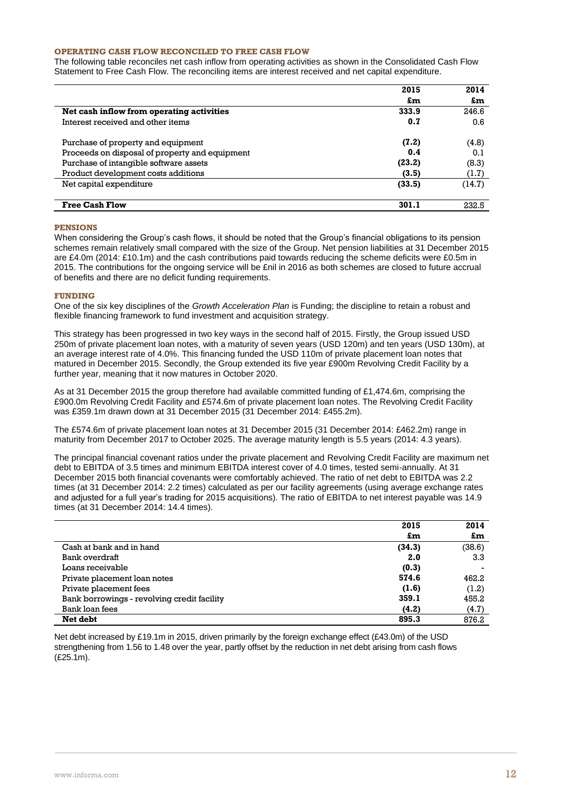### **OPERATING CASH FLOW RECONCILED TO FREE CASH FLOW**

The following table reconciles net cash inflow from operating activities as shown in the Consolidated Cash Flow Statement to Free Cash Flow. The reconciling items are interest received and net capital expenditure.

|                                                | 2015   | 2014   |
|------------------------------------------------|--------|--------|
|                                                | £m     | £m     |
| Net cash inflow from operating activities      | 333.9  | 246.6  |
| Interest received and other items              | 0.7    | 0.6    |
| Purchase of property and equipment             | (7.2)  | (4.8)  |
| Proceeds on disposal of property and equipment | 0.4    | 0.1    |
| Purchase of intangible software assets         | (23.2) | (8.3)  |
| Product development costs additions            | (3.5)  | (1.7)  |
| Net capital expenditure                        | (33.5) | (14.7) |
|                                                |        |        |
| <b>Free Cash Flow</b>                          | 301.1  | 232.5  |

#### **PENSIONS**

When considering the Group's cash flows, it should be noted that the Group's financial obligations to its pension schemes remain relatively small compared with the size of the Group. Net pension liabilities at 31 December 2015 are £4.0m (2014: £10.1m) and the cash contributions paid towards reducing the scheme deficits were £0.5m in 2015. The contributions for the ongoing service will be £nil in 2016 as both schemes are closed to future accrual of benefits and there are no deficit funding requirements.

### **FUNDING**

One of the six key disciplines of the *Growth Acceleration Plan* is Funding; the discipline to retain a robust and flexible financing framework to fund investment and acquisition strategy.

This strategy has been progressed in two key ways in the second half of 2015. Firstly, the Group issued USD 250m of private placement loan notes, with a maturity of seven years (USD 120m) and ten years (USD 130m), at an average interest rate of 4.0%. This financing funded the USD 110m of private placement loan notes that matured in December 2015. Secondly, the Group extended its five year £900m Revolving Credit Facility by a further year, meaning that it now matures in October 2020.

As at 31 December 2015 the group therefore had available committed funding of £1,474.6m, comprising the £900.0m Revolving Credit Facility and £574.6m of private placement loan notes. The Revolving Credit Facility was £359.1m drawn down at 31 December 2015 (31 December 2014: £455.2m).

The £574.6m of private placement loan notes at 31 December 2015 (31 December 2014: £462.2m) range in maturity from December 2017 to October 2025. The average maturity length is 5.5 years (2014: 4.3 years).

The principal financial covenant ratios under the private placement and Revolving Credit Facility are maximum net debt to EBITDA of 3.5 times and minimum EBITDA interest cover of 4.0 times, tested semi-annually. At 31 December 2015 both financial covenants were comfortably achieved. The ratio of net debt to EBITDA was 2.2 times (at 31 December 2014: 2.2 times) calculated as per our facility agreements (using average exchange rates and adjusted for a full year's trading for 2015 acquisitions). The ratio of EBITDA to net interest payable was 14.9 times (at 31 December 2014: 14.4 times).

|                                             | 2015   | 2014   |
|---------------------------------------------|--------|--------|
|                                             | £m     | £m     |
| Cash at bank and in hand                    | (34.3) | (38.6) |
| Bank overdraft                              | 2.0    | 3.3    |
| Loans receivable                            | (0.3)  |        |
| Private placement loan notes                | 574.6  | 462.2  |
| Private placement fees                      | (1.6)  | (1.2)  |
| Bank borrowings - revolving credit facility | 359.1  | 455.2  |
| Bank loan fees                              | (4.2)  | (4.7)  |
| Net debt                                    | 895.3  | 876.2  |

Net debt increased by £19.1m in 2015, driven primarily by the foreign exchange effect (£43.0m) of the USD strengthening from 1.56 to 1.48 over the year, partly offset by the reduction in net debt arising from cash flows (£25.1m).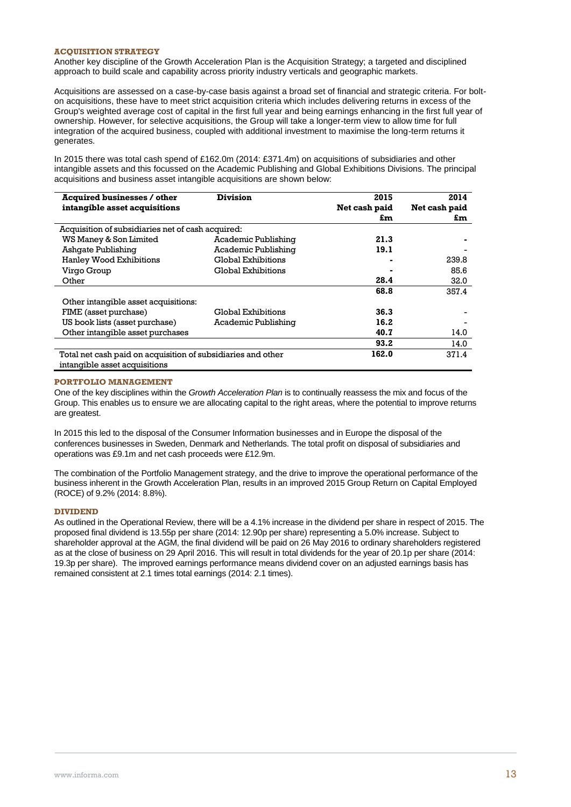### **ACQUISITION STRATEGY**

Another key discipline of the Growth Acceleration Plan is the Acquisition Strategy; a targeted and disciplined approach to build scale and capability across priority industry verticals and geographic markets.

Acquisitions are assessed on a case-by-case basis against a broad set of financial and strategic criteria. For bolton acquisitions, these have to meet strict acquisition criteria which includes delivering returns in excess of the Group's weighted average cost of capital in the first full year and being earnings enhancing in the first full year of ownership. However, for selective acquisitions, the Group will take a longer-term view to allow time for full integration of the acquired business, coupled with additional investment to maximise the long-term returns it generates.

In 2015 there was total cash spend of £162.0m (2014: £371.4m) on acquisitions of subsidiaries and other intangible assets and this focussed on the Academic Publishing and Global Exhibitions Divisions. The principal acquisitions and business asset intangible acquisitions are shown below:

| <b>Acquired businesses / other</b>                           | <b>Division</b>     | 2015          | 2014          |
|--------------------------------------------------------------|---------------------|---------------|---------------|
| intangible asset acquisitions                                |                     | Net cash paid | Net cash paid |
|                                                              |                     | £m            | £m            |
| Acquisition of subsidiaries net of cash acquired:            |                     |               |               |
| WS Maney & Son Limited                                       | Academic Publishing | 21.3          |               |
| Ashqate Publishing                                           | Academic Publishing | 19.1          |               |
| Hanley Wood Exhibitions                                      | Global Exhibitions  |               | 239.8         |
| Virgo Group                                                  | Global Exhibitions  |               | 85.6          |
| Other                                                        |                     | 28.4          | 32.0          |
|                                                              |                     | 68.8          | 357.4         |
| Other intangible asset acquisitions:                         |                     |               |               |
| FIME (asset purchase)                                        | Global Exhibitions  | 36.3          |               |
| US book lists (asset purchase)                               | Academic Publishing | 16.2          |               |
| Other intangible asset purchases                             |                     | 40.7          | 14.0          |
|                                                              |                     | 93.2          | 14.0          |
| Total net cash paid on acquisition of subsidiaries and other |                     | 162.0         | 371.4         |
| intangible asset acquisitions                                |                     |               |               |

### **PORTFOLIO MANAGEMENT**

One of the key disciplines within the *Growth Acceleration Plan* is to continually reassess the mix and focus of the Group. This enables us to ensure we are allocating capital to the right areas, where the potential to improve returns are greatest.

In 2015 this led to the disposal of the Consumer Information businesses and in Europe the disposal of the conferences businesses in Sweden, Denmark and Netherlands. The total profit on disposal of subsidiaries and operations was £9.1m and net cash proceeds were £12.9m.

The combination of the Portfolio Management strategy, and the drive to improve the operational performance of the business inherent in the Growth Acceleration Plan, results in an improved 2015 Group Return on Capital Employed (ROCE) of 9.2% (2014: 8.8%).

### **DIVIDEND**

As outlined in the Operational Review, there will be a 4.1% increase in the dividend per share in respect of 2015. The proposed final dividend is 13.55p per share (2014: 12.90p per share) representing a 5.0% increase. Subject to shareholder approval at the AGM, the final dividend will be paid on 26 May 2016 to ordinary shareholders registered as at the close of business on 29 April 2016. This will result in total dividends for the year of 20.1p per share (2014: 19.3p per share). The improved earnings performance means dividend cover on an adjusted earnings basis has remained consistent at 2.1 times total earnings (2014: 2.1 times).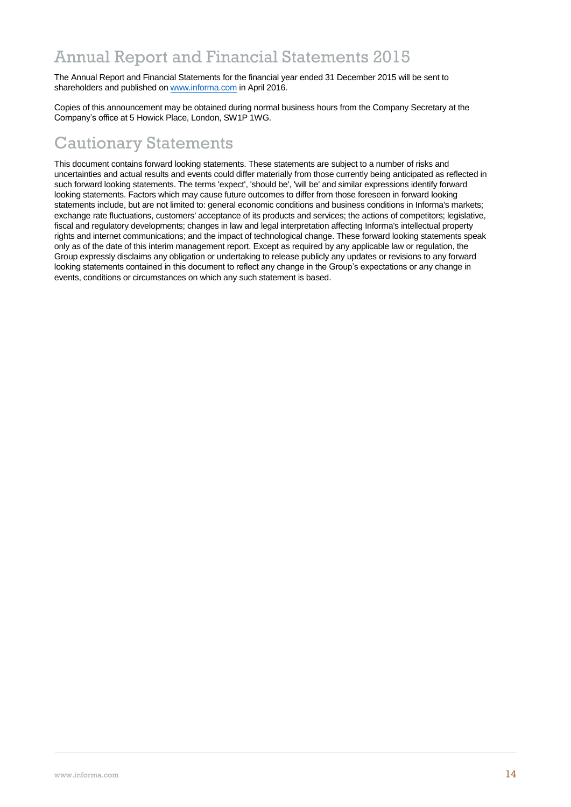## Annual Report and Financial Statements 2015

The Annual Report and Financial Statements for the financial year ended 31 December 2015 will be sent to shareholders and published on [www.informa.com](http://www.informa.com/) in April 2016.

Copies of this announcement may be obtained during normal business hours from the Company Secretary at the Company's office at 5 Howick Place, London, SW1P 1WG.

# Cautionary Statements

This document contains forward looking statements. These statements are subject to a number of risks and uncertainties and actual results and events could differ materially from those currently being anticipated as reflected in such forward looking statements. The terms 'expect', 'should be', 'will be' and similar expressions identify forward looking statements. Factors which may cause future outcomes to differ from those foreseen in forward looking statements include, but are not limited to: general economic conditions and business conditions in Informa's markets; exchange rate fluctuations, customers' acceptance of its products and services; the actions of competitors; legislative, fiscal and regulatory developments; changes in law and legal interpretation affecting Informa's intellectual property rights and internet communications; and the impact of technological change. These forward looking statements speak only as of the date of this interim management report. Except as required by any applicable law or regulation, the Group expressly disclaims any obligation or undertaking to release publicly any updates or revisions to any forward looking statements contained in this document to reflect any change in the Group's expectations or any change in events, conditions or circumstances on which any such statement is based.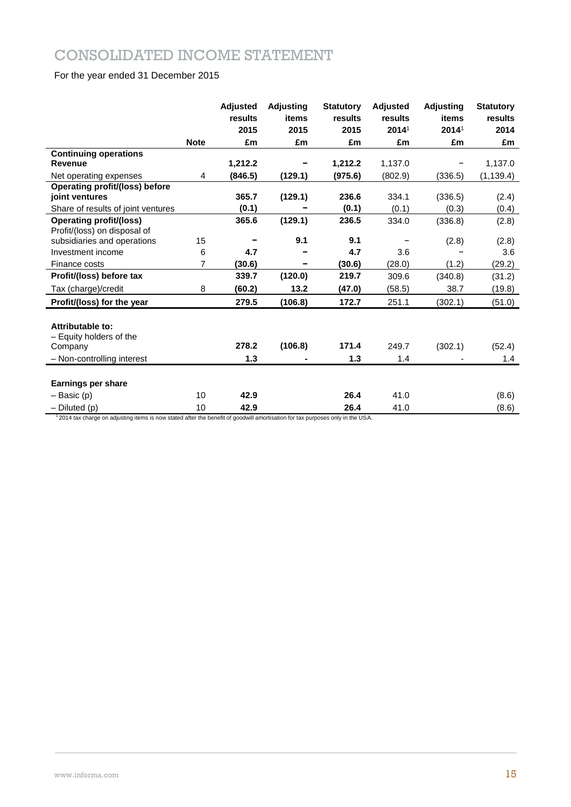## CONSOLIDATED INCOME STATEMENT

### For the year ended 31 December 2015

|                                                                |                | <b>Adjusted</b><br>results | <b>Adjusting</b><br>items | <b>Statutory</b><br>results | <b>Adjusted</b><br>results | <b>Adjusting</b><br>items | <b>Statutory</b><br>results |
|----------------------------------------------------------------|----------------|----------------------------|---------------------------|-----------------------------|----------------------------|---------------------------|-----------------------------|
|                                                                |                | 2015                       | 2015                      | 2015                        | 2014 <sup>1</sup>          | 2014 <sup>1</sup>         | 2014                        |
|                                                                | <b>Note</b>    | £m                         | £m                        | £m                          | £m                         | £m                        | £m                          |
| <b>Continuing operations</b>                                   |                |                            |                           |                             |                            |                           |                             |
| <b>Revenue</b>                                                 |                | 1,212.2                    |                           | 1,212.2                     | 1,137.0                    |                           | 1,137.0                     |
| Net operating expenses                                         | 4              | (846.5)                    | (129.1)                   | (975.6)                     | (802.9)                    | (336.5)                   | (1, 139.4)                  |
| Operating profit/(loss) before<br>joint ventures               |                | 365.7                      | (129.1)                   | 236.6                       | 334.1                      | (336.5)                   | (2.4)                       |
| Share of results of joint ventures                             |                | (0.1)                      |                           | (0.1)                       | (0.1)                      | (0.3)                     | (0.4)                       |
| <b>Operating profit/(loss)</b><br>Profit/(loss) on disposal of |                | 365.6                      | (129.1)                   | 236.5                       | 334.0                      | (336.8)                   | (2.8)                       |
| subsidiaries and operations                                    | 15             |                            | 9.1                       | 9.1                         |                            | (2.8)                     | (2.8)                       |
| Investment income                                              | 6              | 4.7                        |                           | 4.7                         | 3.6                        |                           | 3.6                         |
| Finance costs                                                  | $\overline{7}$ | (30.6)                     | -                         | (30.6)                      | (28.0)                     | (1.2)                     | (29.2)                      |
| Profit/(loss) before tax                                       |                | 339.7                      | (120.0)                   | 219.7                       | 309.6                      | (340.8)                   | (31.2)                      |
| Tax (charge)/credit                                            | 8              | (60.2)                     | 13.2                      | (47.0)                      | (58.5)                     | 38.7                      | (19.8)                      |
| Profit/(loss) for the year                                     |                | 279.5                      | (106.8)                   | 172.7                       | 251.1                      | (302.1)                   | (51.0)                      |
| Attributable to:<br>- Equity holders of the<br>Company         |                | 278.2                      | (106.8)                   | 171.4                       | 249.7                      | (302.1)                   | (52.4)                      |
| - Non-controlling interest                                     |                | 1.3                        |                           | 1.3                         | 1.4                        |                           | 1.4                         |
|                                                                |                |                            |                           |                             |                            |                           |                             |
| <b>Earnings per share</b>                                      |                |                            |                           |                             |                            |                           |                             |
| $-$ Basic (p)                                                  | 10             | 42.9                       |                           | 26.4                        | 41.0                       |                           | (8.6)                       |
| $-$ Diluted (p)                                                | 10             | 42.9                       |                           | 26.4                        | 41.0                       |                           | (8.6)                       |

<sup>1</sup>2014 tax charge on adjusting items is now stated after the benefit of goodwill amortisation for tax purposes only in the USA.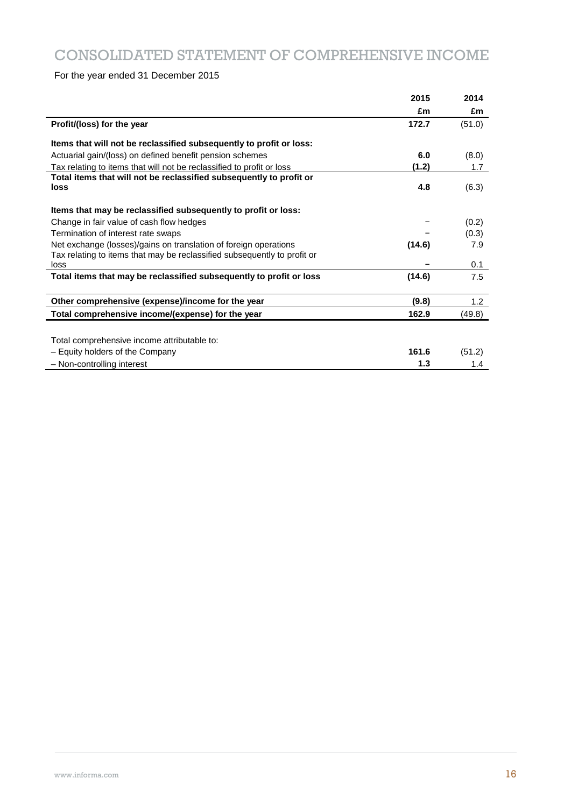## CONSOLIDATED STATEMENT OF COMPREHENSIVE INCOME

For the year ended 31 December 2015

|                                                                          | 2015   | 2014   |
|--------------------------------------------------------------------------|--------|--------|
|                                                                          | £m     | £m     |
| Profit/(loss) for the year                                               | 172.7  | (51.0) |
| Items that will not be reclassified subsequently to profit or loss:      |        |        |
| Actuarial gain/(loss) on defined benefit pension schemes                 | 6.0    | (8.0)  |
| Tax relating to items that will not be reclassified to profit or loss    | (1.2)  | 1.7    |
| Total items that will not be reclassified subsequently to profit or      |        |        |
| loss                                                                     | 4.8    | (6.3)  |
| Items that may be reclassified subsequently to profit or loss:           |        |        |
| Change in fair value of cash flow hedges                                 |        | (0.2)  |
| Termination of interest rate swaps                                       |        | (0.3)  |
| Net exchange (losses)/gains on translation of foreign operations         | (14.6) | 7.9    |
| Tax relating to items that may be reclassified subsequently to profit or |        |        |
| loss                                                                     |        | 0.1    |
| Total items that may be reclassified subsequently to profit or loss      | (14.6) | 7.5    |
| Other comprehensive (expense)/income for the year                        | (9.8)  | 1.2    |
| Total comprehensive income/(expense) for the year                        | 162.9  | (49.8) |
|                                                                          |        |        |
| Total comprehensive income attributable to:                              |        |        |
| - Equity holders of the Company                                          | 161.6  | (51.2) |
| - Non-controlling interest                                               | 1.3    | 1.4    |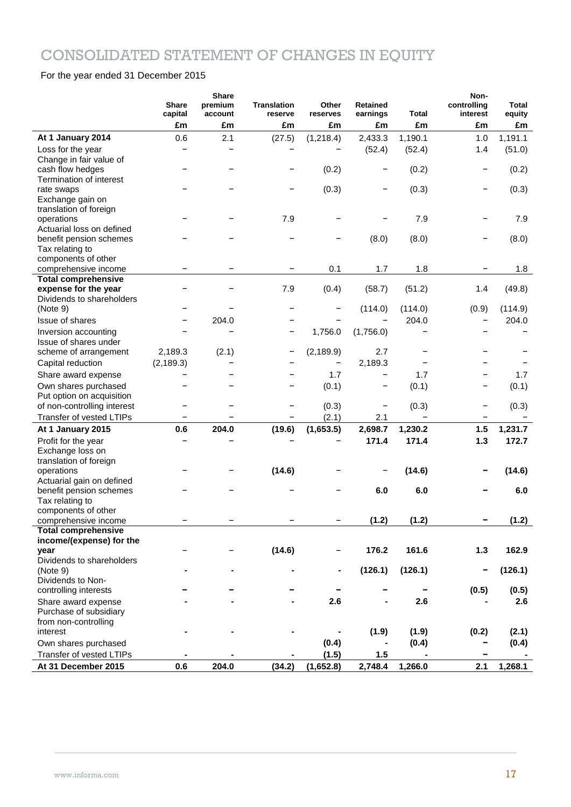# CONSOLIDATED STATEMENT OF CHANGES IN EQUITY

### For the year ended 31 December 2015

|                                                | <b>Share</b><br>capital | <b>Share</b><br>premium<br>account | <b>Translation</b><br>reserve | Other<br>reserves | <b>Retained</b><br>earnings | <b>Total</b>      | Non-<br>controlling<br>interest | Total<br>equity |
|------------------------------------------------|-------------------------|------------------------------------|-------------------------------|-------------------|-----------------------------|-------------------|---------------------------------|-----------------|
|                                                | £m                      | £m                                 | £m                            | £m                | £m                          | £m                | £m                              | £m              |
| At 1 January 2014                              | 0.6                     | 2.1                                | (27.5)                        | (1, 218.4)        | 2,433.3                     | 1,190.1           | 1.0                             | 1,191.1         |
| Loss for the year                              |                         |                                    |                               |                   | (52.4)                      | (52.4)            | 1.4                             | (51.0)          |
| Change in fair value of                        |                         |                                    |                               |                   |                             |                   |                                 |                 |
| cash flow hedges                               |                         |                                    |                               | (0.2)             |                             | (0.2)             | -                               | (0.2)           |
| Termination of interest                        |                         |                                    |                               |                   |                             |                   |                                 |                 |
| rate swaps                                     |                         |                                    |                               | (0.3)             |                             | (0.3)             | -                               | (0.3)           |
| Exchange gain on                               |                         |                                    |                               |                   |                             |                   |                                 |                 |
| translation of foreign                         |                         |                                    |                               |                   |                             |                   |                                 |                 |
| operations                                     |                         |                                    | 7.9                           |                   |                             | 7.9               |                                 | 7.9             |
| Actuarial loss on defined                      |                         |                                    |                               |                   |                             |                   |                                 |                 |
| benefit pension schemes<br>Tax relating to     |                         |                                    |                               |                   | (8.0)                       | (8.0)             |                                 | (8.0)           |
| components of other                            |                         |                                    |                               |                   |                             |                   |                                 |                 |
| comprehensive income                           |                         |                                    |                               | 0.1               | 1.7                         | 1.8               |                                 | 1.8             |
| <b>Total comprehensive</b>                     |                         |                                    |                               |                   |                             |                   |                                 |                 |
| expense for the year                           |                         |                                    | 7.9                           | (0.4)             | (58.7)                      | (51.2)            | 1.4                             | (49.8)          |
| Dividends to shareholders                      |                         |                                    |                               |                   |                             |                   |                                 |                 |
| (Note 9)                                       |                         |                                    |                               |                   | (114.0)                     | (114.0)           | (0.9)                           | (114.9)         |
| <b>Issue of shares</b>                         |                         | 204.0                              |                               |                   |                             | 204.0             |                                 | 204.0           |
| Inversion accounting                           |                         |                                    |                               | 1,756.0           | (1,756.0)                   |                   |                                 |                 |
| Issue of shares under                          |                         |                                    |                               |                   |                             |                   |                                 |                 |
| scheme of arrangement                          | 2,189.3                 | (2.1)                              |                               | (2, 189.9)        | 2.7                         |                   |                                 |                 |
| Capital reduction                              | (2, 189.3)              |                                    |                               |                   | 2,189.3                     |                   |                                 |                 |
| Share award expense                            |                         |                                    |                               | 1.7               |                             | 1.7               |                                 | 1.7             |
| Own shares purchased                           |                         |                                    |                               | (0.1)             |                             | (0.1)             |                                 | (0.1)           |
| Put option on acquisition                      |                         |                                    |                               |                   |                             |                   |                                 |                 |
| of non-controlling interest                    |                         |                                    |                               | (0.3)             | -                           | (0.3)             | -                               | (0.3)           |
| Transfer of vested LTIPs                       |                         |                                    |                               | (2.1)             | 2.1                         | $\qquad \qquad -$ |                                 |                 |
| At 1 January 2015                              | 0.6                     | 204.0                              | (19.6)                        | (1,653.5)         | 2,698.7                     | 1,230.2           | 1.5                             | 1,231.7         |
|                                                |                         |                                    |                               |                   | 171.4                       | 171.4             | $1.3$                           | 172.7           |
| Profit for the year<br>Exchange loss on        |                         |                                    |                               |                   |                             |                   |                                 |                 |
| translation of foreign                         |                         |                                    |                               |                   |                             |                   |                                 |                 |
| operations                                     |                         |                                    | (14.6)                        |                   |                             | (14.6)            |                                 | (14.6)          |
| Actuarial gain on defined                      |                         |                                    |                               |                   |                             |                   |                                 |                 |
| benefit pension schemes                        |                         |                                    |                               |                   | 6.0                         | 6.0               |                                 | 6.0             |
| Tax relating to                                |                         |                                    |                               |                   |                             |                   |                                 |                 |
| components of other                            |                         |                                    |                               |                   |                             |                   |                                 |                 |
| comprehensive income                           |                         |                                    |                               |                   | (1.2)                       | (1.2)             |                                 | (1.2)           |
| <b>Total comprehensive</b>                     |                         |                                    |                               |                   |                             |                   |                                 |                 |
| income/(expense) for the                       |                         |                                    |                               |                   |                             |                   |                                 |                 |
| year                                           |                         |                                    | (14.6)                        |                   | 176.2                       | 161.6             | $1.3$                           | 162.9           |
| Dividends to shareholders                      |                         |                                    |                               |                   |                             |                   |                                 |                 |
| (Note 9)                                       |                         |                                    |                               |                   | (126.1)                     | (126.1)           |                                 | (126.1)         |
| Dividends to Non-                              |                         |                                    |                               |                   |                             |                   |                                 |                 |
| controlling interests                          |                         |                                    |                               |                   |                             |                   | (0.5)                           | (0.5)           |
| Share award expense                            |                         |                                    |                               | 2.6               |                             | 2.6               |                                 | 2.6             |
| Purchase of subsidiary<br>from non-controlling |                         |                                    |                               |                   |                             |                   |                                 |                 |
| interest                                       |                         |                                    |                               |                   | (1.9)                       | (1.9)             | (0.2)                           | (2.1)           |
| Own shares purchased                           |                         |                                    |                               | (0.4)             |                             |                   |                                 |                 |
|                                                |                         |                                    |                               |                   |                             | (0.4)             |                                 | (0.4)           |
| Transfer of vested LTIPs                       |                         |                                    |                               | (1.5)             | 1.5                         |                   |                                 |                 |
| At 31 December 2015                            | 0.6                     | 204.0                              | (34.2)                        | (1,652.8)         | 2,748.4                     | 1,266.0           | 2.1                             | 1,268.1         |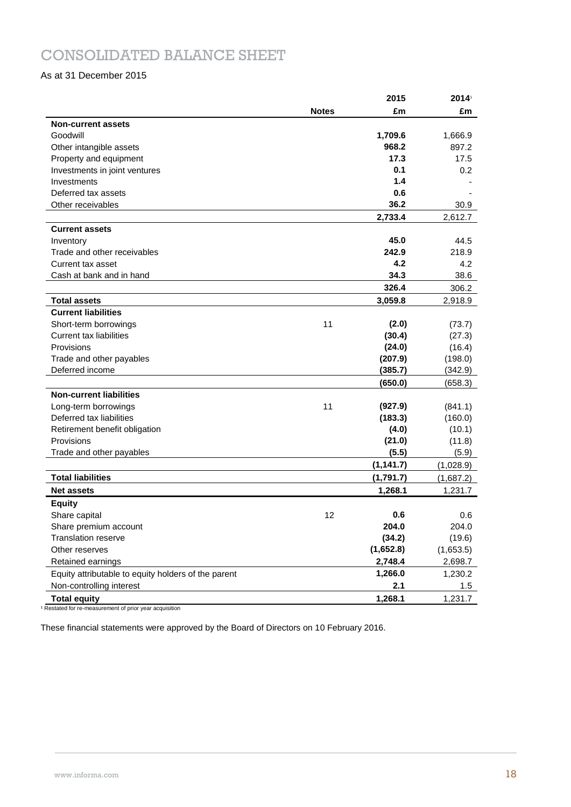## CONSOLIDATED BALANCE SHEET

### As at 31 December 2015

|                                                     |              | 2015       | 2014      |
|-----------------------------------------------------|--------------|------------|-----------|
|                                                     | <b>Notes</b> | £m         | £m        |
| <b>Non-current assets</b>                           |              |            |           |
| Goodwill                                            |              | 1,709.6    | 1,666.9   |
| Other intangible assets                             |              | 968.2      | 897.2     |
| Property and equipment                              |              | 17.3       | 17.5      |
| Investments in joint ventures                       |              | 0.1        | 0.2       |
| Investments                                         |              | 1.4        |           |
| Deferred tax assets                                 |              | 0.6        |           |
| Other receivables                                   |              | 36.2       | 30.9      |
|                                                     |              | 2,733.4    | 2,612.7   |
| <b>Current assets</b>                               |              |            |           |
| Inventory                                           |              | 45.0       | 44.5      |
| Trade and other receivables                         |              | 242.9      | 218.9     |
| Current tax asset                                   |              | 4.2        | 4.2       |
| Cash at bank and in hand                            |              | 34.3       | 38.6      |
|                                                     |              | 326.4      | 306.2     |
| <b>Total assets</b>                                 |              | 3,059.8    | 2,918.9   |
| <b>Current liabilities</b>                          |              |            |           |
| Short-term borrowings                               | 11           | (2.0)      | (73.7)    |
| <b>Current tax liabilities</b>                      |              | (30.4)     | (27.3)    |
| Provisions                                          |              | (24.0)     | (16.4)    |
| Trade and other payables                            |              | (207.9)    | (198.0)   |
| Deferred income                                     |              | (385.7)    | (342.9)   |
|                                                     |              | (650.0)    | (658.3)   |
| <b>Non-current liabilities</b>                      |              |            |           |
| Long-term borrowings                                | 11           | (927.9)    | (841.1)   |
| Deferred tax liabilities                            |              | (183.3)    | (160.0)   |
| Retirement benefit obligation                       |              | (4.0)      | (10.1)    |
| Provisions                                          |              | (21.0)     | (11.8)    |
| Trade and other payables                            |              | (5.5)      | (5.9)     |
|                                                     |              | (1, 141.7) | (1,028.9) |
| <b>Total liabilities</b>                            |              | (1,791.7)  | (1,687.2) |
| <b>Net assets</b>                                   |              | 1,268.1    | 1,231.7   |
| <b>Equity</b>                                       |              |            |           |
| Share capital                                       | 12           | 0.6        | 0.6       |
| Share premium account                               |              | 204.0      | 204.0     |
| Translation reserve                                 |              | (34.2)     | (19.6)    |
| Other reserves                                      |              | (1,652.8)  | (1,653.5) |
| Retained earnings                                   |              | 2,748.4    | 2,698.7   |
| Equity attributable to equity holders of the parent |              | 1,266.0    | 1,230.2   |
| Non-controlling interest                            |              | 2.1        | 1.5       |
| <b>Total equity</b>                                 |              | 1,268.1    | 1,231.7   |

<sup>1</sup> Restated for re-measurement of prior year acquisition

These financial statements were approved by the Board of Directors on 10 February 2016.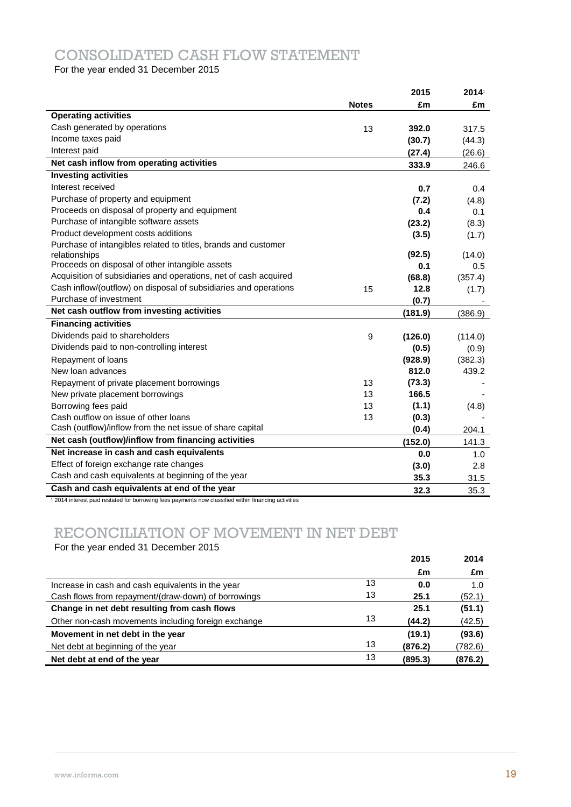## CONSOLIDATED CASH FLOW STATEMENT

For the year ended 31 December 2015

|                                                                  |              | 2015    | 2014    |
|------------------------------------------------------------------|--------------|---------|---------|
|                                                                  | <b>Notes</b> | £m      | £m      |
| <b>Operating activities</b>                                      |              |         |         |
| Cash generated by operations                                     | 13           | 392.0   | 317.5   |
| Income taxes paid                                                |              | (30.7)  | (44.3)  |
| Interest paid                                                    |              | (27.4)  | (26.6)  |
| Net cash inflow from operating activities                        |              | 333.9   | 246.6   |
| <b>Investing activities</b>                                      |              |         |         |
| Interest received                                                |              | 0.7     | 0.4     |
| Purchase of property and equipment                               |              | (7.2)   | (4.8)   |
| Proceeds on disposal of property and equipment                   |              | 0.4     | 0.1     |
| Purchase of intangible software assets                           |              | (23.2)  | (8.3)   |
| Product development costs additions                              |              | (3.5)   | (1.7)   |
| Purchase of intangibles related to titles, brands and customer   |              |         |         |
| relationships                                                    |              | (92.5)  | (14.0)  |
| Proceeds on disposal of other intangible assets                  |              | 0.1     | 0.5     |
| Acquisition of subsidiaries and operations, net of cash acquired |              | (68.8)  | (357.4) |
| Cash inflow/(outflow) on disposal of subsidiaries and operations | 15           | 12.8    | (1.7)   |
| Purchase of investment                                           |              | (0.7)   |         |
| Net cash outflow from investing activities                       |              | (181.9) | (386.9) |
| <b>Financing activities</b>                                      |              |         |         |
| Dividends paid to shareholders                                   | 9            | (126.0) | (114.0) |
| Dividends paid to non-controlling interest                       |              | (0.5)   | (0.9)   |
| Repayment of loans                                               |              | (928.9) | (382.3) |
| New loan advances                                                |              | 812.0   | 439.2   |
| Repayment of private placement borrowings                        | 13           | (73.3)  |         |
| New private placement borrowings                                 | 13           | 166.5   |         |
| Borrowing fees paid                                              | 13           | (1.1)   | (4.8)   |
| Cash outflow on issue of other loans                             | 13           | (0.3)   |         |
| Cash (outflow)/inflow from the net issue of share capital        |              | (0.4)   | 204.1   |
| Net cash (outflow)/inflow from financing activities              |              | (152.0) | 141.3   |
| Net increase in cash and cash equivalents                        |              | 0.0     | 1.0     |
| Effect of foreign exchange rate changes                          |              | (3.0)   | 2.8     |
| Cash and cash equivalents at beginning of the year               |              | 35.3    | 31.5    |
| Cash and cash equivalents at end of the year                     |              | 32.3    | 35.3    |

<sup>1</sup> 2014 interest paid restated for borrowing fees payments now classified within financing activities

## RECONCILIATION OF MOVEMENT IN NET DEBT

For the year ended 31 December 2015

|                                                     |    | 2015    | 2014    |
|-----------------------------------------------------|----|---------|---------|
|                                                     |    | £m      | £m      |
| Increase in cash and cash equivalents in the year   | 13 | 0.0     | 1.0     |
| Cash flows from repayment/(draw-down) of borrowings | 13 | 25.1    | (52.1)  |
| Change in net debt resulting from cash flows        |    | 25.1    | (51.1)  |
| Other non-cash movements including foreign exchange | 13 | (44.2)  | (42.5)  |
| Movement in net debt in the year                    |    | (19.1)  | (93.6)  |
| Net debt at beginning of the year                   | 13 | (876.2) | (782.6) |
| Net debt at end of the year                         | 13 | (895.3) | (876.2) |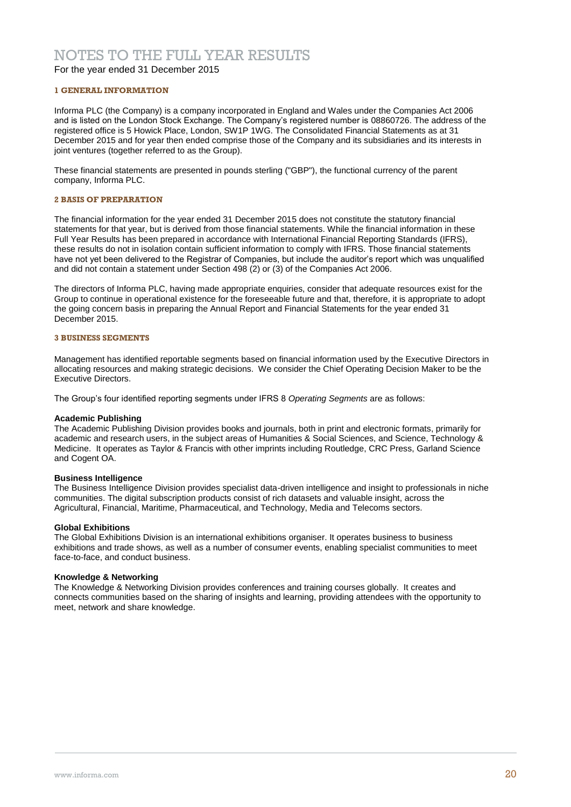### NOTES TO THE FULL YEAR RESULTS

For the year ended 31 December 2015

### **1 GENERAL INFORMATION**

Informa PLC (the Company) is a company incorporated in England and Wales under the Companies Act 2006 and is listed on the London Stock Exchange. The Company's registered number is 08860726. The address of the registered office is 5 Howick Place, London, SW1P 1WG. The Consolidated Financial Statements as at 31 December 2015 and for year then ended comprise those of the Company and its subsidiaries and its interests in joint ventures (together referred to as the Group).

These financial statements are presented in pounds sterling ("GBP"), the functional currency of the parent company, Informa PLC.

### **2 BASIS OF PREPARATION**

The financial information for the year ended 31 December 2015 does not constitute the statutory financial statements for that year, but is derived from those financial statements. While the financial information in these Full Year Results has been prepared in accordance with International Financial Reporting Standards (IFRS), these results do not in isolation contain sufficient information to comply with IFRS. Those financial statements have not yet been delivered to the Registrar of Companies, but include the auditor's report which was unqualified and did not contain a statement under Section 498 (2) or (3) of the Companies Act 2006.

The directors of Informa PLC, having made appropriate enquiries, consider that adequate resources exist for the Group to continue in operational existence for the foreseeable future and that, therefore, it is appropriate to adopt the going concern basis in preparing the Annual Report and Financial Statements for the year ended 31 December 2015.

### **3 BUSINESS SEGMENTS**

Management has identified reportable segments based on financial information used by the Executive Directors in allocating resources and making strategic decisions. We consider the Chief Operating Decision Maker to be the Executive Directors.

The Group's four identified reporting segments under IFRS 8 *Operating Segments* are as follows:

### **Academic Publishing**

The Academic Publishing Division provides books and journals, both in print and electronic formats, primarily for academic and research users, in the subject areas of Humanities & Social Sciences, and Science, Technology & Medicine. It operates as Taylor & Francis with other imprints including Routledge, CRC Press, Garland Science and Cogent OA.

### **Business Intelligence**

The Business Intelligence Division provides specialist data-driven intelligence and insight to professionals in niche communities. The digital subscription products consist of rich datasets and valuable insight, across the Agricultural, Financial, Maritime, Pharmaceutical, and Technology, Media and Telecoms sectors.

### **Global Exhibitions**

The Global Exhibitions Division is an international exhibitions organiser. It operates business to business exhibitions and trade shows, as well as a number of consumer events, enabling specialist communities to meet face-to-face, and conduct business.

### **Knowledge & Networking**

The Knowledge & Networking Division provides conferences and training courses globally. It creates and connects communities based on the sharing of insights and learning, providing attendees with the opportunity to meet, network and share knowledge.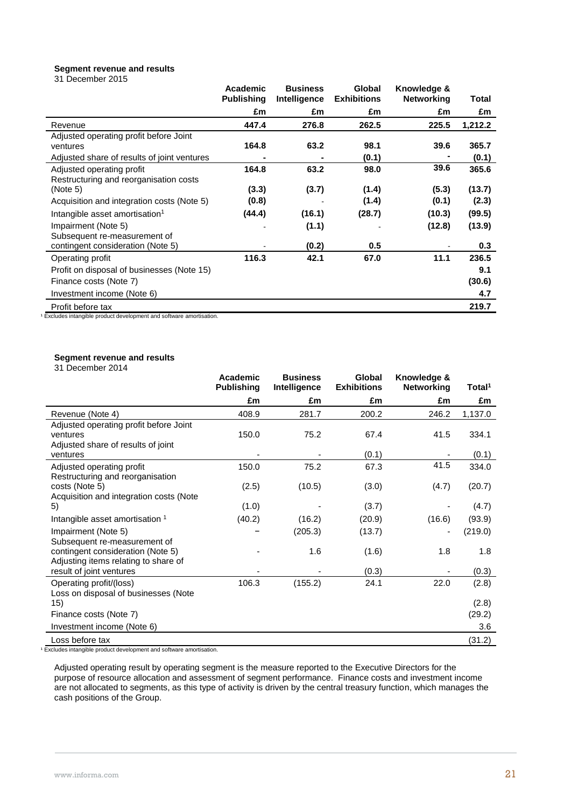### **Segment revenue and results**

|  |  | 31 December 2015 |  |
|--|--|------------------|--|
|--|--|------------------|--|

|                                                                                        | Academic<br><b>Publishing</b> | <b>Business</b><br>Intelligence | Global<br><b>Exhibitions</b> | Knowledge &<br><b>Networking</b> | Total   |
|----------------------------------------------------------------------------------------|-------------------------------|---------------------------------|------------------------------|----------------------------------|---------|
|                                                                                        | £m                            | £m                              | £m                           | £m                               | £m      |
| Revenue                                                                                | 447.4                         | 276.8                           | 262.5                        | 225.5                            | 1,212.2 |
| Adjusted operating profit before Joint                                                 |                               |                                 |                              |                                  |         |
| ventures                                                                               | 164.8                         | 63.2                            | 98.1                         | 39.6                             | 365.7   |
| Adjusted share of results of joint ventures                                            |                               |                                 | (0.1)                        |                                  | (0.1)   |
| Adjusted operating profit<br>Restructuring and reorganisation costs                    | 164.8                         | 63.2                            | 98.0                         | 39.6                             | 365.6   |
| (Note 5)                                                                               | (3.3)                         | (3.7)                           | (1.4)                        | (5.3)                            | (13.7)  |
| Acquisition and integration costs (Note 5)                                             | (0.8)                         |                                 | (1.4)                        | (0.1)                            | (2.3)   |
| Intangible asset amortisation <sup>1</sup>                                             | (44.4)                        | (16.1)                          | (28.7)                       | (10.3)                           | (99.5)  |
| Impairment (Note 5)<br>Subsequent re-measurement of                                    |                               | (1.1)                           |                              | (12.8)                           | (13.9)  |
| contingent consideration (Note 5)                                                      |                               | (0.2)                           | 0.5                          |                                  | 0.3     |
| Operating profit                                                                       | 116.3                         | 42.1                            | 67.0                         | 11.1                             | 236.5   |
| Profit on disposal of businesses (Note 15)                                             |                               |                                 |                              |                                  | 9.1     |
| Finance costs (Note 7)                                                                 |                               |                                 |                              |                                  | (30.6)  |
| Investment income (Note 6)                                                             |                               |                                 |                              |                                  | 4.7     |
| Profit before tax<br>Evoludes intensible product development and estuare emertiaction. |                               |                                 |                              |                                  | 219.7   |

<sup>1</sup> Excludes intangible product development and software amortisation.

### **Segment revenue and results**

| 31 December 2014 |  |
|------------------|--|
|------------------|--|

|                                               | <b>Academic</b><br><b>Publishing</b> | <b>Business</b><br>Intelligence | Global<br><b>Exhibitions</b> | Knowledge &<br><b>Networking</b> | Total <sup>1</sup> |
|-----------------------------------------------|--------------------------------------|---------------------------------|------------------------------|----------------------------------|--------------------|
|                                               | £m                                   | £m                              | £m                           | £m                               | £m                 |
| Revenue (Note 4)                              | 408.9                                | 281.7                           | 200.2                        | 246.2                            | 1,137.0            |
| Adjusted operating profit before Joint        |                                      |                                 |                              |                                  |                    |
| ventures                                      | 150.0                                | 75.2                            | 67.4                         | 41.5                             | 334.1              |
| Adjusted share of results of joint            |                                      |                                 |                              |                                  |                    |
| ventures                                      |                                      |                                 | (0.1)                        |                                  | (0.1)              |
| Adjusted operating profit                     | 150.0                                | 75.2                            | 67.3                         | 41.5                             | 334.0              |
| Restructuring and reorganisation              |                                      |                                 |                              |                                  |                    |
| costs (Note 5)                                | (2.5)                                | (10.5)                          | (3.0)                        | (4.7)                            | (20.7)             |
| Acquisition and integration costs (Note       |                                      |                                 |                              |                                  |                    |
| 5)                                            | (1.0)                                |                                 | (3.7)                        |                                  | (4.7)              |
| Intangible asset amortisation 1               | (40.2)                               | (16.2)                          | (20.9)                       | (16.6)                           | (93.9)             |
| Impairment (Note 5)                           |                                      | (205.3)                         | (13.7)                       |                                  | (219.0)            |
| Subsequent re-measurement of                  |                                      |                                 |                              |                                  |                    |
| contingent consideration (Note 5)             |                                      | 1.6                             | (1.6)                        | 1.8                              | 1.8                |
| Adjusting items relating to share of          |                                      |                                 |                              |                                  |                    |
| result of joint ventures                      |                                      |                                 | (0.3)                        |                                  | (0.3)              |
| Operating profit/(loss)                       | 106.3                                | (155.2)                         | 24.1                         | 22.0                             | (2.8)              |
| Loss on disposal of businesses (Note          |                                      |                                 |                              |                                  |                    |
| 15)                                           |                                      |                                 |                              |                                  | (2.8)              |
| Finance costs (Note 7)                        |                                      |                                 |                              |                                  |                    |
|                                               |                                      |                                 |                              |                                  | 3.6                |
|                                               |                                      |                                 |                              |                                  |                    |
| Investment income (Note 6)<br>Loss before tax |                                      |                                 |                              |                                  | (29.2)<br>(31.2)   |

<sup>1</sup> Excludes intangible product development and software amortisation.

Adjusted operating result by operating segment is the measure reported to the Executive Directors for the purpose of resource allocation and assessment of segment performance. Finance costs and investment income are not allocated to segments, as this type of activity is driven by the central treasury function, which manages the cash positions of the Group.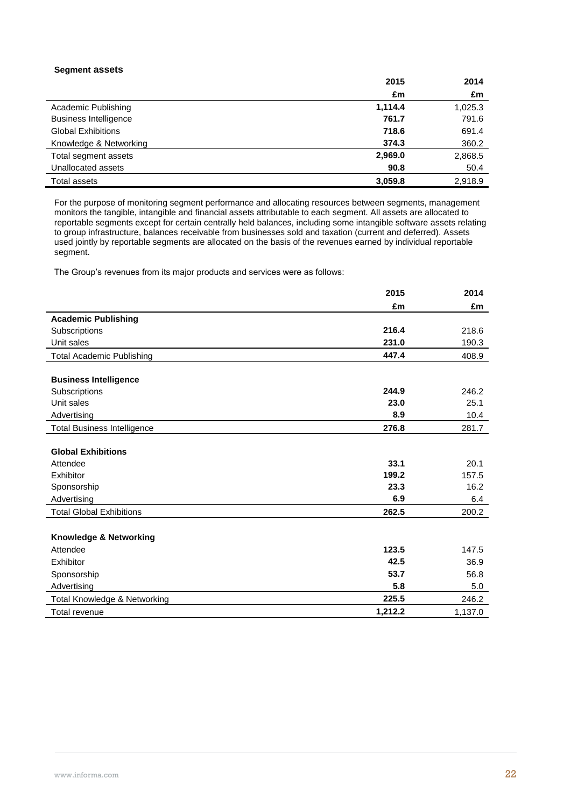### **Segment assets**

|                              | 2015    | 2014    |
|------------------------------|---------|---------|
|                              | £m      | £m      |
| Academic Publishing          | 1,114.4 | 1,025.3 |
| <b>Business Intelligence</b> | 761.7   | 791.6   |
| <b>Global Exhibitions</b>    | 718.6   | 691.4   |
| Knowledge & Networking       | 374.3   | 360.2   |
| Total segment assets         | 2,969.0 | 2,868.5 |
| Unallocated assets           | 90.8    | 50.4    |
| Total assets                 | 3,059.8 | 2.918.9 |

For the purpose of monitoring segment performance and allocating resources between segments, management monitors the tangible, intangible and financial assets attributable to each segment. All assets are allocated to reportable segments except for certain centrally held balances, including some intangible software assets relating to group infrastructure, balances receivable from businesses sold and taxation (current and deferred). Assets used jointly by reportable segments are allocated on the basis of the revenues earned by individual reportable segment.

The Group's revenues from its major products and services were as follows:

|                                    | 2015    | 2014    |
|------------------------------------|---------|---------|
|                                    | £m      | £m      |
| <b>Academic Publishing</b>         |         |         |
| Subscriptions                      | 216.4   | 218.6   |
| Unit sales                         | 231.0   | 190.3   |
| <b>Total Academic Publishing</b>   | 447.4   | 408.9   |
|                                    |         |         |
| <b>Business Intelligence</b>       |         |         |
| Subscriptions                      | 244.9   | 246.2   |
| Unit sales                         | 23.0    | 25.1    |
| Advertising                        | 8.9     | 10.4    |
| <b>Total Business Intelligence</b> | 276.8   | 281.7   |
|                                    |         |         |
| <b>Global Exhibitions</b>          |         |         |
| Attendee                           | 33.1    | 20.1    |
| Exhibitor                          | 199.2   | 157.5   |
| Sponsorship                        | 23.3    | 16.2    |
| Advertising                        | 6.9     | 6.4     |
| <b>Total Global Exhibitions</b>    | 262.5   | 200.2   |
|                                    |         |         |
| Knowledge & Networking             |         |         |
| Attendee                           | 123.5   | 147.5   |
| Exhibitor                          | 42.5    | 36.9    |
| Sponsorship                        | 53.7    | 56.8    |
| Advertising                        | 5.8     | 5.0     |
| Total Knowledge & Networking       | 225.5   | 246.2   |
| Total revenue                      | 1.212.2 | 1,137.0 |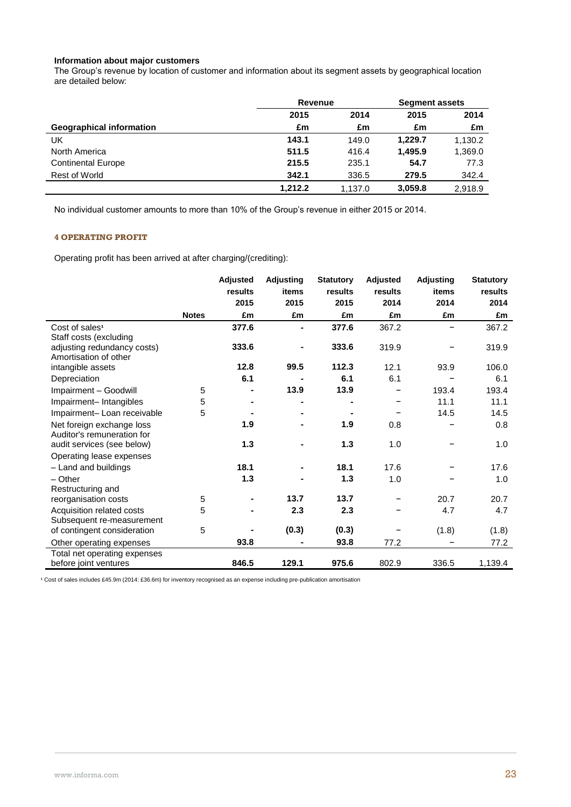### **Information about major customers**

The Group's revenue by location of customer and information about its segment assets by geographical location are detailed below:

|                                 |         | <b>Revenue</b> |         | <b>Segment assets</b> |
|---------------------------------|---------|----------------|---------|-----------------------|
|                                 | 2015    | 2014           | 2015    | 2014                  |
| <b>Geographical information</b> | £m      | £m             | £m      | £m                    |
| UK                              | 143.1   | 149.0          | 1.229.7 | 1,130.2               |
| North America                   | 511.5   | 416.4          | 1.495.9 | 1,369.0               |
| <b>Continental Europe</b>       | 215.5   | 235.1          | 54.7    | 77.3                  |
| Rest of World                   | 342.1   | 336.5          | 279.5   | 342.4                 |
|                                 | 1.212.2 | 1.137.0        | 3.059.8 | 2.918.9               |

No individual customer amounts to more than 10% of the Group's revenue in either 2015 or 2014.

### **4 OPERATING PROFIT**

Operating profit has been arrived at after charging/(crediting):

|                                                         |              | <b>Adjusted</b> | <b>Adjusting</b> | <b>Statutory</b> | <b>Adjusted</b> | <b>Adjusting</b> | <b>Statutory</b> |
|---------------------------------------------------------|--------------|-----------------|------------------|------------------|-----------------|------------------|------------------|
|                                                         |              | results         | items            | results          | results         | items            | results          |
|                                                         |              | 2015            | 2015             | 2015             | 2014            | 2014             | 2014             |
|                                                         | <b>Notes</b> | £m              | £m               | £m               | £m              | £m               | £m               |
| Cost of sales <sup>1</sup><br>Staff costs (excluding    |              | 377.6           |                  | 377.6            | 367.2           |                  | 367.2            |
| adjusting redundancy costs)<br>Amortisation of other    |              | 333.6           |                  | 333.6            | 319.9           |                  | 319.9            |
| intangible assets                                       |              | 12.8            | 99.5             | 112.3            | 12.1            | 93.9             | 106.0            |
| Depreciation                                            |              | 6.1             |                  | 6.1              | 6.1             |                  | 6.1              |
| Impairment - Goodwill                                   | 5            |                 | 13.9             | 13.9             |                 | 193.4            | 193.4            |
| Impairment-Intangibles                                  | 5            |                 |                  |                  |                 | 11.1             | 11.1             |
| Impairment- Loan receivable                             | 5            |                 |                  |                  |                 | 14.5             | 14.5             |
| Net foreign exchange loss<br>Auditor's remuneration for |              | 1.9             |                  | 1.9              | 0.8             |                  | 0.8              |
| audit services (see below)<br>Operating lease expenses  |              | 1.3             |                  | 1.3              | 1.0             |                  | 1.0              |
| - Land and buildings                                    |              | 18.1            |                  | 18.1             | 17.6            |                  | 17.6             |
| $-$ Other                                               |              | 1.3             |                  | 1.3              | 1.0             |                  | 1.0              |
| Restructuring and                                       |              |                 |                  |                  |                 |                  |                  |
| reorganisation costs                                    | 5            |                 | 13.7             | 13.7             |                 | 20.7             | 20.7             |
| Acquisition related costs<br>Subsequent re-measurement  | 5            |                 | 2.3              | 2.3              |                 | 4.7              | 4.7              |
| of contingent consideration                             | 5            |                 | (0.3)            | (0.3)            |                 | (1.8)            | (1.8)            |
| Other operating expenses                                |              | 93.8            |                  | 93.8             | 77.2            |                  | 77.2             |
| Total net operating expenses<br>before joint ventures   |              | 846.5           | 129.1            | 975.6            | 802.9           | 336.5            | 1,139.4          |

<sup>1</sup> Cost of sales includes £45.9m (2014: £36.6m) for inventory recognised as an expense including pre-publication amortisation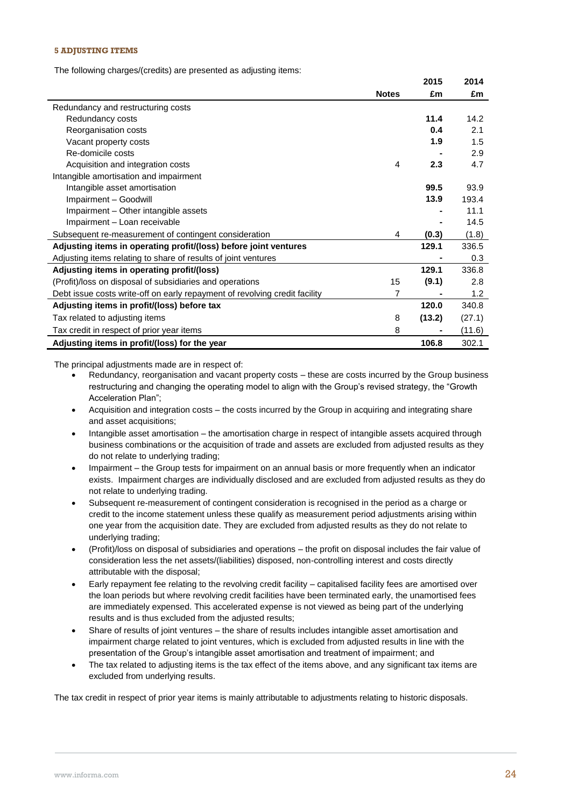### **5 ADJUSTING ITEMS**

The following charges/(credits) are presented as adjusting items:

|                                                                            |              | 2015   | 2014   |
|----------------------------------------------------------------------------|--------------|--------|--------|
|                                                                            | <b>Notes</b> | £m     | £m     |
| Redundancy and restructuring costs                                         |              |        |        |
| Redundancy costs                                                           |              | 11.4   | 14.2   |
| Reorganisation costs                                                       |              | 0.4    | 2.1    |
| Vacant property costs                                                      |              | 1.9    | 1.5    |
| Re-domicile costs                                                          |              |        | 2.9    |
| Acquisition and integration costs                                          | 4            | 2.3    | 4.7    |
| Intangible amortisation and impairment                                     |              |        |        |
| Intangible asset amortisation                                              |              | 99.5   | 93.9   |
| Impairment - Goodwill                                                      |              | 13.9   | 193.4  |
| Impairment - Other intangible assets                                       |              |        | 11.1   |
| Impairment - Loan receivable                                               |              |        | 14.5   |
| Subsequent re-measurement of contingent consideration                      | 4            | (0.3)  | (1.8)  |
| Adjusting items in operating profit/(loss) before joint ventures           |              | 129.1  | 336.5  |
| Adjusting items relating to share of results of joint ventures             |              |        | 0.3    |
| Adjusting items in operating profit/(loss)                                 |              | 129.1  | 336.8  |
| (Profit)/loss on disposal of subsidiaries and operations                   | 15           | (9.1)  | 2.8    |
| Debt issue costs write-off on early repayment of revolving credit facility | 7            |        | 1.2    |
| Adjusting items in profit/(loss) before tax                                |              | 120.0  | 340.8  |
| Tax related to adjusting items                                             | 8            | (13.2) | (27.1) |
| Tax credit in respect of prior year items                                  | 8            |        | (11.6) |
| Adjusting items in profit/(loss) for the year                              |              | 106.8  | 302.1  |

The principal adjustments made are in respect of:

- Redundancy, reorganisation and vacant property costs these are costs incurred by the Group business restructuring and changing the operating model to align with the Group's revised strategy, the "Growth Acceleration Plan";
- Acquisition and integration costs the costs incurred by the Group in acquiring and integrating share and asset acquisitions;
- Intangible asset amortisation the amortisation charge in respect of intangible assets acquired through business combinations or the acquisition of trade and assets are excluded from adjusted results as they do not relate to underlying trading;
- Impairment the Group tests for impairment on an annual basis or more frequently when an indicator exists. Impairment charges are individually disclosed and are excluded from adjusted results as they do not relate to underlying trading.
- Subsequent re-measurement of contingent consideration is recognised in the period as a charge or credit to the income statement unless these qualify as measurement period adjustments arising within one year from the acquisition date. They are excluded from adjusted results as they do not relate to underlying trading;
- (Profit)/loss on disposal of subsidiaries and operations the profit on disposal includes the fair value of consideration less the net assets/(liabilities) disposed, non-controlling interest and costs directly attributable with the disposal;
- Early repayment fee relating to the revolving credit facility capitalised facility fees are amortised over the loan periods but where revolving credit facilities have been terminated early, the unamortised fees are immediately expensed. This accelerated expense is not viewed as being part of the underlying results and is thus excluded from the adjusted results;
- Share of results of joint ventures the share of results includes intangible asset amortisation and impairment charge related to joint ventures, which is excluded from adjusted results in line with the presentation of the Group's intangible asset amortisation and treatment of impairment; and
- The tax related to adjusting items is the tax effect of the items above, and any significant tax items are excluded from underlying results.

The tax credit in respect of prior year items is mainly attributable to adjustments relating to historic disposals.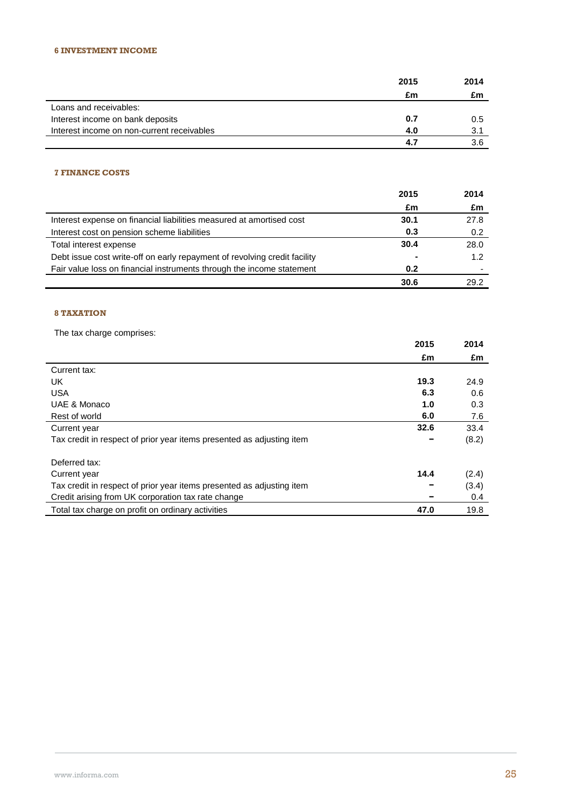|                                            | 2015 | 2014 |
|--------------------------------------------|------|------|
|                                            | £m   | £m   |
| Loans and receivables:                     |      |      |
| Interest income on bank deposits           | 0.7  | 0.5  |
| Interest income on non-current receivables | 4.0  | 3.1  |
|                                            | 4.7  | 3.6  |

### **7 FINANCE COSTS**

|                                                                           | 2015           | 2014 |
|---------------------------------------------------------------------------|----------------|------|
|                                                                           | £m             | £m   |
| Interest expense on financial liabilities measured at amortised cost      | 30.1           | 27.8 |
| Interest cost on pension scheme liabilities                               | 0.3            | 0.2  |
| Total interest expense                                                    | 30.4           | 28.0 |
| Debt issue cost write-off on early repayment of revolving credit facility | $\blacksquare$ | 1.2  |
| Fair value loss on financial instruments through the income statement     | 0.2            |      |
|                                                                           | 30.6           | 29.2 |

### **8 TAXATION**

The tax charge comprises:

| THE TAX URIGITE COMPRISES.                                            | 2015 | 2014  |
|-----------------------------------------------------------------------|------|-------|
|                                                                       |      |       |
|                                                                       | £m   | £m    |
| Current tax:                                                          |      |       |
| UK                                                                    | 19.3 | 24.9  |
| <b>USA</b>                                                            | 6.3  | 0.6   |
| UAE & Monaco                                                          | 1.0  | 0.3   |
| Rest of world                                                         | 6.0  | 7.6   |
| Current year                                                          | 32.6 | 33.4  |
| Tax credit in respect of prior year items presented as adjusting item |      | (8.2) |
| Deferred tax:                                                         |      |       |
| Current year                                                          | 14.4 | (2.4) |
| Tax credit in respect of prior year items presented as adjusting item |      | (3.4) |
| Credit arising from UK corporation tax rate change                    |      | 0.4   |
| Total tax charge on profit on ordinary activities                     | 47.0 | 19.8  |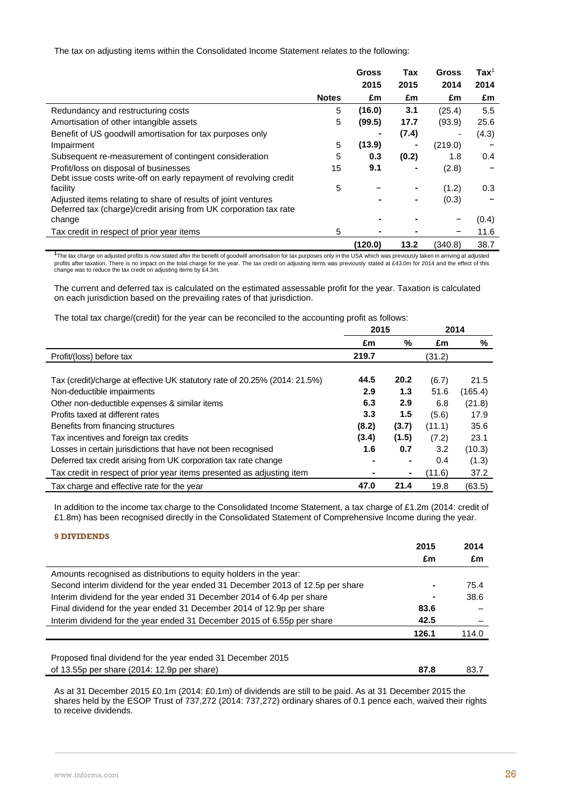The tax on adjusting items within the Consolidated Income Statement relates to the following:

|                                                                   |              | <b>Gross</b> | Tax            | <b>Gross</b>   | $\text{Tax}^1$ |
|-------------------------------------------------------------------|--------------|--------------|----------------|----------------|----------------|
|                                                                   |              | 2015         | 2015           | 2014           | 2014           |
|                                                                   | <b>Notes</b> | £m           | £m             | £m             | £m             |
| Redundancy and restructuring costs                                | 5            | (16.0)       | 3.1            | (25.4)         | 5.5            |
| Amortisation of other intangible assets                           | 5            | (99.5)       | 17.7           | (93.9)         | 25.6           |
| Benefit of US goodwill amortisation for tax purposes only         |              |              | (7.4)          | $\overline{a}$ | (4.3)          |
| Impairment                                                        | 5            | (13.9)       |                | (219.0)        |                |
| Subsequent re-measurement of contingent consideration             | 5            | 0.3          | (0.2)          | 1.8            | 0.4            |
| Profit/loss on disposal of businesses                             | 15           | 9.1          |                | (2.8)          |                |
| Debt issue costs write-off on early repayment of revolving credit |              |              |                |                |                |
| facility                                                          | 5            |              |                | (1.2)          | 0.3            |
| Adjusted items relating to share of results of joint ventures     |              |              | $\blacksquare$ | (0.3)          |                |
| Deferred tax (charge)/credit arising from UK corporation tax rate |              |              |                |                |                |
| change                                                            |              |              |                |                | (0.4)          |
| Tax credit in respect of prior year items                         | 5            |              |                | -              | 11.6           |
|                                                                   |              | (120.0)      | 13.2           | (340.8)        | 38.7           |

**1** The tax charge on adjusted profits is now stated after the benefit of goodwill amortisation for tax purposes only in the USA which was previously taken in arriving at adjusted profits after taxation. There is no impact on the total charge for the year. The tax credit on adjusting items was previously stated at £43.0m for 2014 and the effect of this<br>change was to reduce the tax credit on adjustin

The current and deferred tax is calculated on the estimated assessable profit for the year. Taxation is calculated on each jurisdiction based on the prevailing rates of that jurisdiction.

The total tax charge/(credit) for the year can be reconciled to the accounting profit as follows:

|                                                                            | 2015  |       | 2014   |         |
|----------------------------------------------------------------------------|-------|-------|--------|---------|
|                                                                            | £m    | %     | £m     | %       |
| Profit/(loss) before tax                                                   | 219.7 |       | (31.2) |         |
|                                                                            |       |       |        |         |
| Tax (credit)/charge at effective UK statutory rate of 20.25% (2014: 21.5%) | 44.5  | 20.2  | (6.7)  | 21.5    |
| Non-deductible impairments                                                 | 2.9   | 1.3   | 51.6   | (165.4) |
| Other non-deductible expenses & similar items                              | 6.3   | 2.9   | 6.8    | (21.8)  |
| Profits taxed at different rates                                           | 3.3   | 1.5   | (5.6)  | 17.9    |
| Benefits from financing structures                                         | (8.2) | (3.7) | (11.1) | 35.6    |
| Tax incentives and foreign tax credits                                     | (3.4) | (1.5) | (7.2)  | 23.1    |
| Losses in certain jurisdictions that have not been recognised              | 1.6   | 0.7   | 3.2    | (10.3)  |
| Deferred tax credit arising from UK corporation tax rate change            |       |       | 0.4    | (1.3)   |
| Tax credit in respect of prior year items presented as adjusting item      |       | ٠     | (11.6) | 37.2    |
| Tax charge and effective rate for the year                                 | 47.0  | 21.4  | 19.8   | (63.5)  |

In addition to the income tax charge to the Consolidated Income Statement, a tax charge of £1.2m (2014: credit of £1.8m) has been recognised directly in the Consolidated Statement of Comprehensive Income during the year.

### **9 DIVIDENDS**

|                                                                                | 2015  | 2014  |
|--------------------------------------------------------------------------------|-------|-------|
|                                                                                | £m    | £m    |
| Amounts recognised as distributions to equity holders in the year:             |       |       |
| Second interim dividend for the year ended 31 December 2013 of 12.5p per share |       | 75.4  |
| Interim dividend for the year ended 31 December 2014 of 6.4p per share         |       | 38.6  |
| Final dividend for the year ended 31 December 2014 of 12.9p per share          | 83.6  |       |
| Interim dividend for the year ended 31 December 2015 of 6.55p per share        | 42.5  |       |
|                                                                                | 126.1 | 114.0 |
|                                                                                |       |       |
| Proposed final dividend for the year ended 31 December 2015                    |       |       |
| of 13.55p per share (2014: 12.9p per share)                                    | 87.8  | 83.7  |

As at 31 December 2015 £0.1m (2014: £0.1m) of dividends are still to be paid. As at 31 December 2015 the shares held by the ESOP Trust of 737,272 (2014: 737,272) ordinary shares of 0.1 pence each, waived their rights to receive dividends.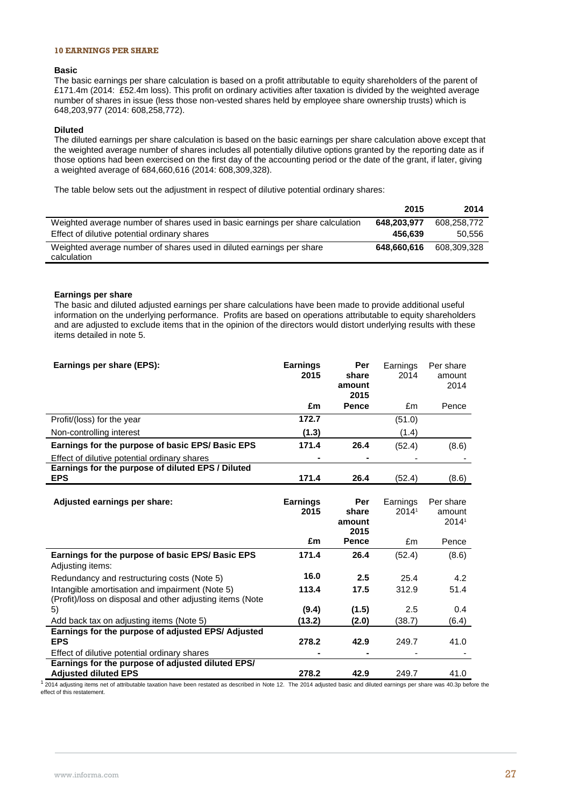### **10 EARNINGS PER SHARE**

### **Basic**

The basic earnings per share calculation is based on a profit attributable to equity shareholders of the parent of £171.4m (2014: £52.4m loss). This profit on ordinary activities after taxation is divided by the weighted average number of shares in issue (less those non-vested shares held by employee share ownership trusts) which is 648,203,977 (2014: 608,258,772).

#### **Diluted**

The diluted earnings per share calculation is based on the basic earnings per share calculation above except that the weighted average number of shares includes all potentially dilutive options granted by the reporting date as if those options had been exercised on the first day of the accounting period or the date of the grant, if later, giving a weighted average of 684,660,616 (2014: 608,309,328).

The table below sets out the adjustment in respect of dilutive potential ordinary shares:

|                                                                                     | 2015        | 2014        |
|-------------------------------------------------------------------------------------|-------------|-------------|
| Weighted average number of shares used in basic earnings per share calculation      | 648,203,977 | 608.258.772 |
| Effect of dilutive potential ordinary shares                                        | 456.639     | 50.556      |
| Weighted average number of shares used in diluted earnings per share<br>calculation | 648.660.616 | 608.309.328 |

### **Earnings per share**

The basic and diluted adjusted earnings per share calculations have been made to provide additional useful information on the underlying performance. Profits are based on operations attributable to equity shareholders and are adjusted to exclude items that in the opinion of the directors would distort underlying results with these items detailed in note 5.

| Earnings per share (EPS):                                                                                    | <b>Earnings</b><br>2015 | Per<br>share<br>amount<br>2015 | Earnings<br>2014  | Per share<br>amount<br>2014  |
|--------------------------------------------------------------------------------------------------------------|-------------------------|--------------------------------|-------------------|------------------------------|
|                                                                                                              | £m                      | <b>Pence</b>                   | £m                | Pence                        |
| Profit/(loss) for the year                                                                                   | 172.7                   |                                | (51.0)            |                              |
| Non-controlling interest                                                                                     | (1.3)                   |                                | (1.4)             |                              |
| Earnings for the purpose of basic EPS/Basic EPS                                                              | 171.4                   | 26.4                           | (52.4)            | (8.6)                        |
| Effect of dilutive potential ordinary shares                                                                 |                         |                                |                   |                              |
| Earnings for the purpose of diluted EPS / Diluted<br><b>EPS</b>                                              | 171.4                   | 26.4                           |                   |                              |
|                                                                                                              |                         |                                | (52.4)            | (8.6)                        |
| Adjusted earnings per share:                                                                                 | <b>Earnings</b><br>2015 | Per<br>share<br>amount<br>2015 | Earnings<br>20141 | Per share<br>amount<br>20141 |
|                                                                                                              | £m                      | <b>Pence</b>                   | £m                | Pence                        |
| Earnings for the purpose of basic EPS/Basic EPS<br>Adjusting items:                                          | 171.4                   | 26.4                           | (52.4)            | (8.6)                        |
| Redundancy and restructuring costs (Note 5)                                                                  | 16.0                    | 2.5                            | 25.4              | 4.2                          |
| Intangible amortisation and impairment (Note 5)<br>(Profit)/loss on disposal and other adjusting items (Note | 113.4                   | 17.5                           | 312.9             | 51.4                         |
| 5)                                                                                                           | (9.4)                   | (1.5)                          | 2.5               | 0.4                          |
| Add back tax on adjusting items (Note 5)                                                                     | (13.2)                  | (2.0)                          | (38.7)            | (6.4)                        |
| Earnings for the purpose of adjusted EPS/ Adjusted<br><b>EPS</b>                                             | 278.2                   | 42.9                           | 249.7             | 41.0                         |
| Effect of dilutive potential ordinary shares                                                                 |                         |                                |                   |                              |
| Earnings for the purpose of adjusted diluted EPS/<br><b>Adjusted diluted EPS</b>                             | 278.2                   | 42.9                           | 249.7             | 41.0                         |

 $12014$  adjusting items net of attributable taxation have been restated as described in Note 12. The 2014 adjusted basic and diluted earnings per share was 40.3p before the effect of this restatement.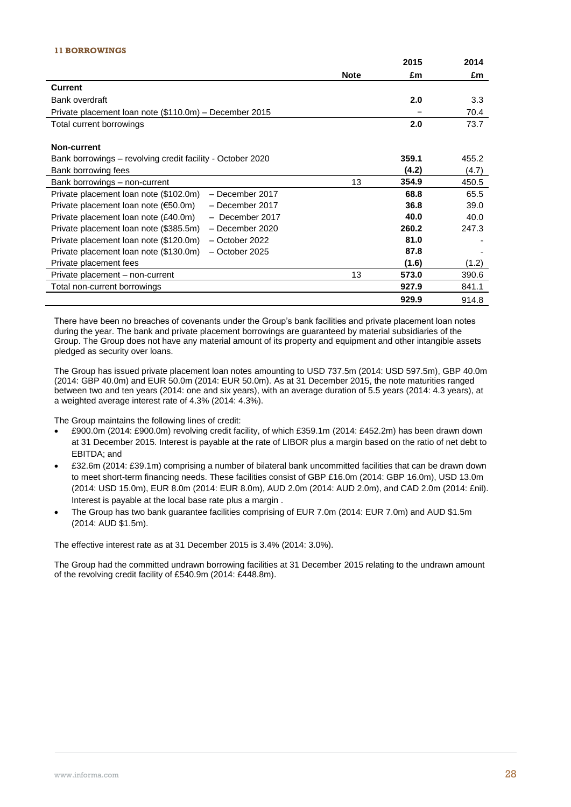### **11 BORROWINGS**

|                                                            |             | 2015  | 2014  |
|------------------------------------------------------------|-------------|-------|-------|
|                                                            | <b>Note</b> | £m    | £m    |
| <b>Current</b>                                             |             |       |       |
| Bank overdraft                                             |             | 2.0   | 3.3   |
| Private placement loan note (\$110.0m) – December 2015     |             |       | 70.4  |
| Total current borrowings                                   |             | 2.0   | 73.7  |
|                                                            |             |       |       |
| Non-current                                                |             |       |       |
| Bank borrowings - revolving credit facility - October 2020 |             | 359.1 | 455.2 |
| Bank borrowing fees                                        |             | (4.2) | (4.7) |
| Bank borrowings - non-current                              | 13          | 354.9 | 450.5 |
| Private placement loan note (\$102.0m)<br>- December 2017  |             | 68.8  | 65.5  |
| Private placement loan note (€50.0m)<br>- December 2017    |             | 36.8  | 39.0  |
| Private placement loan note (£40.0m)<br>- December 2017    |             | 40.0  | 40.0  |
| Private placement loan note (\$385.5m)<br>- December 2020  |             | 260.2 | 247.3 |
| Private placement loan note (\$120.0m)<br>- October 2022   |             | 81.0  |       |
| Private placement loan note (\$130.0m)<br>- October 2025   |             | 87.8  |       |
| Private placement fees                                     |             | (1.6) | (1.2) |
| Private placement - non-current                            | 13          | 573.0 | 390.6 |
| Total non-current borrowings                               |             | 927.9 | 841.1 |
|                                                            |             | 929.9 | 914.8 |

There have been no breaches of covenants under the Group's bank facilities and private placement loan notes during the year. The bank and private placement borrowings are guaranteed by material subsidiaries of the Group. The Group does not have any material amount of its property and equipment and other intangible assets pledged as security over loans.

The Group has issued private placement loan notes amounting to USD 737.5m (2014: USD 597.5m), GBP 40.0m (2014: GBP 40.0m) and EUR 50.0m (2014: EUR 50.0m). As at 31 December 2015, the note maturities ranged between two and ten years (2014: one and six years), with an average duration of 5.5 years (2014: 4.3 years), at a weighted average interest rate of 4.3% (2014: 4.3%).

The Group maintains the following lines of credit:

- £900.0m (2014: £900.0m) revolving credit facility, of which £359.1m (2014: £452.2m) has been drawn down at 31 December 2015. Interest is payable at the rate of LIBOR plus a margin based on the ratio of net debt to EBITDA; and
- £32.6m (2014: £39.1m) comprising a number of bilateral bank uncommitted facilities that can be drawn down to meet short-term financing needs. These facilities consist of GBP £16.0m (2014: GBP 16.0m), USD 13.0m (2014: USD 15.0m), EUR 8.0m (2014: EUR 8.0m), AUD 2.0m (2014: AUD 2.0m), and CAD 2.0m (2014: £nil). Interest is payable at the local base rate plus a margin .
- The Group has two bank guarantee facilities comprising of EUR 7.0m (2014: EUR 7.0m) and AUD \$1.5m (2014: AUD \$1.5m).

The effective interest rate as at 31 December 2015 is 3.4% (2014: 3.0%).

The Group had the committed undrawn borrowing facilities at 31 December 2015 relating to the undrawn amount of the revolving credit facility of £540.9m (2014: £448.8m).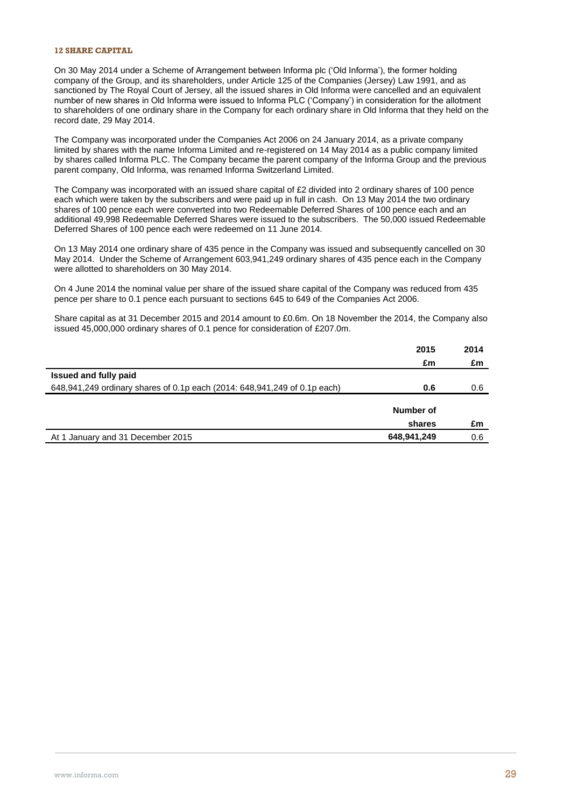### **12 SHARE CAPITAL**

On 30 May 2014 under a Scheme of Arrangement between Informa plc ('Old Informa'), the former holding company of the Group, and its shareholders, under Article 125 of the Companies (Jersey) Law 1991, and as sanctioned by The Royal Court of Jersey, all the issued shares in Old Informa were cancelled and an equivalent number of new shares in Old Informa were issued to Informa PLC ('Company') in consideration for the allotment to shareholders of one ordinary share in the Company for each ordinary share in Old Informa that they held on the record date, 29 May 2014.

The Company was incorporated under the Companies Act 2006 on 24 January 2014, as a private company limited by shares with the name Informa Limited and re-registered on 14 May 2014 as a public company limited by shares called Informa PLC. The Company became the parent company of the Informa Group and the previous parent company, Old Informa, was renamed Informa Switzerland Limited.

The Company was incorporated with an issued share capital of £2 divided into 2 ordinary shares of 100 pence each which were taken by the subscribers and were paid up in full in cash. On 13 May 2014 the two ordinary shares of 100 pence each were converted into two Redeemable Deferred Shares of 100 pence each and an additional 49,998 Redeemable Deferred Shares were issued to the subscribers. The 50,000 issued Redeemable Deferred Shares of 100 pence each were redeemed on 11 June 2014.

On 13 May 2014 one ordinary share of 435 pence in the Company was issued and subsequently cancelled on 30 May 2014. Under the Scheme of Arrangement 603,941,249 ordinary shares of 435 pence each in the Company were allotted to shareholders on 30 May 2014.

On 4 June 2014 the nominal value per share of the issued share capital of the Company was reduced from 435 pence per share to 0.1 pence each pursuant to sections 645 to 649 of the Companies Act 2006.

Share capital as at 31 December 2015 and 2014 amount to £0.6m. On 18 November the 2014, the Company also issued 45,000,000 ordinary shares of 0.1 pence for consideration of £207.0m.

| 2015                                                                             | 2014 |
|----------------------------------------------------------------------------------|------|
| £m                                                                               | £m   |
| Issued and fully paid                                                            |      |
| 648,941,249 ordinary shares of 0.1p each (2014: 648,941,249 of 0.1p each)<br>0.6 | 0.6  |
|                                                                                  |      |
| Number of                                                                        |      |
| shares                                                                           | £m   |
| 648,941,249<br>At 1 January and 31 December 2015                                 | 0.6  |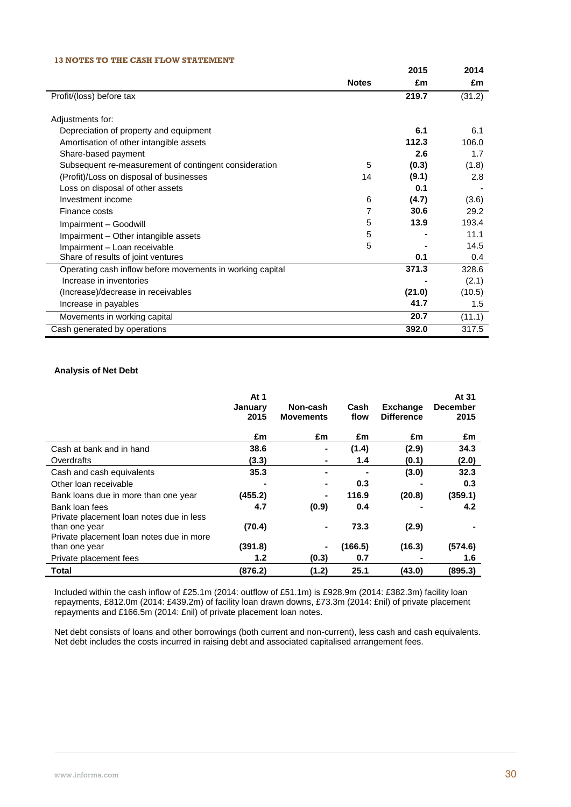### **13 NOTES TO THE CASH FLOW STATEMENT**

|                                                           |              | 2015   | 2014   |
|-----------------------------------------------------------|--------------|--------|--------|
|                                                           | <b>Notes</b> | £m     | £m     |
| Profit/(loss) before tax                                  |              | 219.7  | (31.2) |
|                                                           |              |        |        |
| Adjustments for:                                          |              |        |        |
| Depreciation of property and equipment                    |              | 6.1    | 6.1    |
| Amortisation of other intangible assets                   |              | 112.3  | 106.0  |
| Share-based payment                                       |              | 2.6    | 1.7    |
| Subsequent re-measurement of contingent consideration     | 5            | (0.3)  | (1.8)  |
| (Profit)/Loss on disposal of businesses                   | 14           | (9.1)  | 2.8    |
| Loss on disposal of other assets                          |              | 0.1    |        |
| Investment income                                         | 6            | (4.7)  | (3.6)  |
| Finance costs                                             | 7            | 30.6   | 29.2   |
| Impairment - Goodwill                                     | 5            | 13.9   | 193.4  |
| Impairment - Other intangible assets                      | 5            |        | 11.1   |
| Impairment - Loan receivable                              | 5            |        | 14.5   |
| Share of results of joint ventures                        |              | 0.1    | 0.4    |
| Operating cash inflow before movements in working capital |              | 371.3  | 328.6  |
| Increase in inventories                                   |              |        | (2.1)  |
| (Increase)/decrease in receivables                        |              | (21.0) | (10.5) |
| Increase in payables                                      |              | 41.7   | 1.5    |
| Movements in working capital                              |              | 20.7   | (11.1) |
| Cash generated by operations                              |              | 392.0  | 317.5  |

### **Analysis of Net Debt**

|                                                            | At 1<br>January<br>2015 | Non-cash<br><b>Movements</b> | Cash<br>flow | <b>Exchange</b><br><b>Difference</b> | At 31<br><b>December</b><br>2015 |
|------------------------------------------------------------|-------------------------|------------------------------|--------------|--------------------------------------|----------------------------------|
|                                                            | £m                      | £m                           | £m           | £m                                   | £m                               |
| Cash at bank and in hand                                   | 38.6                    | $\blacksquare$               | (1.4)        | (2.9)                                | 34.3                             |
| Overdrafts                                                 | (3.3)                   | ۰                            | 1.4          | (0.1)                                | (2.0)                            |
| Cash and cash equivalents                                  | 35.3                    | ۰                            |              | (3.0)                                | 32.3                             |
| Other loan receivable                                      |                         | $\blacksquare$               | 0.3          |                                      | 0.3                              |
| Bank loans due in more than one year                       | (455.2)                 | ٠                            | 116.9        | (20.8)                               | (359.1)                          |
| Bank loan fees<br>Private placement loan notes due in less | 4.7                     | (0.9)                        | 0.4          |                                      | 4.2                              |
| than one year<br>Private placement loan notes due in more  | (70.4)                  | $\blacksquare$               | 73.3         | (2.9)                                |                                  |
| than one year                                              | (391.8)                 | $\blacksquare$               | (166.5)      | (16.3)                               | (574.6)                          |
| Private placement fees                                     | 1.2                     | (0.3)                        | 0.7          |                                      | 1.6                              |
| Total                                                      | (876.2)                 | (1.2)                        | 25.1         | (43.0)                               | (895.3)                          |

Included within the cash inflow of £25.1m (2014: outflow of £51.1m) is £928.9m (2014: £382.3m) facility loan repayments, £812.0m (2014: £439.2m) of facility loan drawn downs, £73.3m (2014: £nil) of private placement repayments and £166.5m (2014: £nil) of private placement loan notes.

Net debt consists of loans and other borrowings (both current and non-current), less cash and cash equivalents. Net debt includes the costs incurred in raising debt and associated capitalised arrangement fees.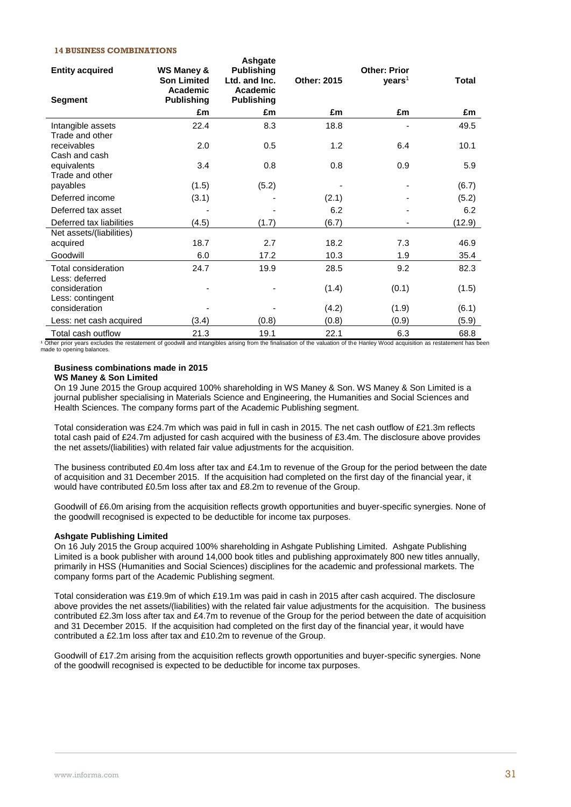### **14 BUSINESS COMBINATIONS**

| <b>Entity acquired</b><br>Segment     | WS Maney &<br><b>Son Limited</b><br>Academic<br><b>Publishing</b> | Ashgate<br><b>Publishing</b><br>Ltd. and Inc.<br>Academic<br><b>Publishing</b> | Other: 2015 | <b>Other: Prior</b><br>years <sup>1</sup> | <b>Total</b> |
|---------------------------------------|-------------------------------------------------------------------|--------------------------------------------------------------------------------|-------------|-------------------------------------------|--------------|
|                                       | £m                                                                | £m                                                                             | £m          | £m                                        | £m           |
| Intangible assets<br>Trade and other  | 22.4                                                              | 8.3                                                                            | 18.8        |                                           | 49.5         |
| receivables<br>Cash and cash          | 2.0                                                               | 0.5                                                                            | 1.2         | 6.4                                       | 10.1         |
| equivalents<br>Trade and other        | 3.4                                                               | 0.8                                                                            | 0.8         | 0.9                                       | 5.9          |
| payables                              | (1.5)                                                             | (5.2)                                                                          |             |                                           | (6.7)        |
| Deferred income                       | (3.1)                                                             |                                                                                | (2.1)       |                                           | (5.2)        |
| Deferred tax asset                    |                                                                   |                                                                                | 6.2         |                                           | 6.2          |
| Deferred tax liabilities              | (4.5)                                                             | (1.7)                                                                          | (6.7)       |                                           | (12.9)       |
| Net assets/(liabilities)              |                                                                   |                                                                                |             |                                           |              |
| acquired                              | 18.7                                                              | 2.7                                                                            | 18.2        | 7.3                                       | 46.9         |
| Goodwill                              | 6.0                                                               | 17.2                                                                           | 10.3        | 1.9                                       | 35.4         |
| Total consideration<br>Less: deferred | 24.7                                                              | 19.9                                                                           | 28.5        | 9.2                                       | 82.3         |
| consideration<br>Less: contingent     |                                                                   |                                                                                | (1.4)       | (0.1)                                     | (1.5)        |
| consideration                         |                                                                   |                                                                                | (4.2)       | (1.9)                                     | (6.1)        |
| Less: net cash acquired               | (3.4)                                                             | (0.8)                                                                          | (0.8)       | (0.9)                                     | (5.9)        |
| Total cash outflow                    | 21.3                                                              | 19.1                                                                           | 22.1        | 6.3                                       | 68.8         |

<sup>1</sup> Other prior years excludes the restatement of goodwill and intangibles arising from the finalisation of the valuation of the Hanley Wood acquisition as restatement has been made to opening balances.

#### **Business combinations made in 2015**

### **WS Maney & Son Limited**

On 19 June 2015 the Group acquired 100% shareholding in WS Maney & Son. WS Maney & Son Limited is a journal publisher specialising in Materials Science and Engineering, the Humanities and Social Sciences and Health Sciences. The company forms part of the Academic Publishing segment.

Total consideration was £24.7m which was paid in full in cash in 2015. The net cash outflow of £21.3m reflects total cash paid of £24.7m adjusted for cash acquired with the business of £3.4m. The disclosure above provides the net assets/(liabilities) with related fair value adjustments for the acquisition.

The business contributed £0.4m loss after tax and £4.1m to revenue of the Group for the period between the date of acquisition and 31 December 2015. If the acquisition had completed on the first day of the financial year, it would have contributed £0.5m loss after tax and £8.2m to revenue of the Group.

Goodwill of £6.0m arising from the acquisition reflects growth opportunities and buyer-specific synergies. None of the goodwill recognised is expected to be deductible for income tax purposes.

#### **Ashgate Publishing Limited**

On 16 July 2015 the Group acquired 100% shareholding in Ashgate Publishing Limited. Ashgate Publishing Limited is a book publisher with around 14,000 book titles and publishing approximately 800 new titles annually, primarily in HSS (Humanities and Social Sciences) disciplines for the academic and professional markets. The company forms part of the Academic Publishing segment.

Total consideration was £19.9m of which £19.1m was paid in cash in 2015 after cash acquired. The disclosure above provides the net assets/(liabilities) with the related fair value adjustments for the acquisition. The business contributed £2.3m loss after tax and £4.7m to revenue of the Group for the period between the date of acquisition and 31 December 2015. If the acquisition had completed on the first day of the financial year, it would have contributed a £2.1m loss after tax and £10.2m to revenue of the Group.

Goodwill of £17.2m arising from the acquisition reflects growth opportunities and buyer-specific synergies. None of the goodwill recognised is expected to be deductible for income tax purposes.